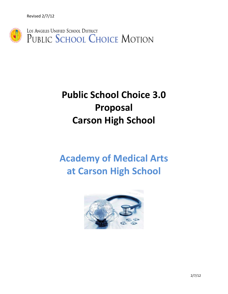Revised 2/7/12



# **Public School Choice 3.0 Proposal Carson High School**

# **Academy of Medical Arts at Carson High School**

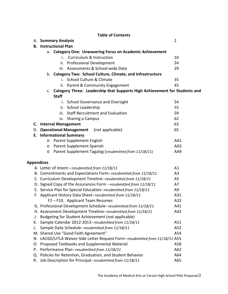# **Table of Contents**

|                   | A. Summary Analysis                                                              | $\overline{2}$ |  |  |
|-------------------|----------------------------------------------------------------------------------|----------------|--|--|
| В.                | <b>Instructional Plan</b>                                                        |                |  |  |
|                   | a. Category One: Unwavering Focus on Academic Achievement                        |                |  |  |
|                   | Curriculum & Instruction<br>i.                                                   | 10             |  |  |
|                   | <b>Professional Development</b><br>ii.                                           | 24             |  |  |
|                   | iii. Assessments & School-wide Data                                              | 29             |  |  |
|                   | b. Category Two: School Culture, Climate, and Infrastructure                     |                |  |  |
|                   | i. School Culture & Climate                                                      | 35             |  |  |
|                   | ii. Parent & Community Engagement                                                | 45             |  |  |
|                   | Category Three: Leadership that Supports High Achievement for Students and<br>C. |                |  |  |
|                   | <b>Staff</b>                                                                     |                |  |  |
|                   | i. School Governance and Oversight                                               | 54             |  |  |
|                   | ii. School Leadership                                                            | 55             |  |  |
|                   | <b>Staff Recruitment and Evaluation</b><br>iii.                                  | 59             |  |  |
|                   | iv. Sharing a Campus                                                             | 62             |  |  |
|                   | C. Internal Management                                                           | 63             |  |  |
| D.                | <b>Operational Management</b><br>(not applicable)                                | 65             |  |  |
|                   | <b>E.</b> Informational Summary                                                  |                |  |  |
|                   | Parent Supplement English<br>$\circ$                                             | AA1            |  |  |
|                   | Parent Supplement Spanish<br>$\circ$                                             | AA5            |  |  |
|                   | Parent Supplement Tagalog (resubmitted from 11/18/11)<br>O                       | AA9            |  |  |
|                   |                                                                                  |                |  |  |
| <b>Appendices</b> |                                                                                  |                |  |  |
|                   | A. Letter of Intent-resubmitted from 11/18/11                                    | A1             |  |  |
|                   | B. Commitments and Expectations Form--resubmitted from 11/18/11                  | A <sub>3</sub> |  |  |
|                   | C. Curriculum Development Timeline--resubmitted from 11/18/11                    | A <sub>5</sub> |  |  |
|                   | D. Signed Copy of the Assurances Form --resubmitted from 11/18/11                | A7             |  |  |
|                   | E. Service Plan for Special Education-resubmitted from 11/18/11                  | A <sub>9</sub> |  |  |
|                   | F. Applicant History Data Sheet--resubmitted from 11/18/11                       | A31            |  |  |
|                   | F2 - F10. Applicant Team Resumes                                                 | A32            |  |  |
|                   | G. Professional Development Schedule--resubmitted from 11/18/11                  | A41            |  |  |
|                   | H. Assessment Development Timeline--resubmitted from 11/18/11                    | A42            |  |  |
| J.                | Budgeting for Student Achievement (not applicable)                               |                |  |  |
| K.                | Sample Calendar 2012-2013--resubmitted from 11/18/11                             | A51            |  |  |
| L.                | Sample Daily Schedule--resubmitted from 11/18/11                                 | A52            |  |  |
|                   | M. Shared Use "Good Faith Agreement"                                             | A54            |  |  |
|                   | N. LAUSD/UTLA Waiver-Side Letter Request Form--resubmitted from 11/18/11 A55     |                |  |  |
|                   | O. Proposed Textbooks and Supplemental Material                                  | A58            |  |  |
| Р.                | Performance Plan--resubmitted from 11/18/11                                      | A62            |  |  |
| Q.                | Policies for Retention, Graduation, and Student Behavior                         | A64            |  |  |
| R.                | Job Description for Principal-resubmitted from 11/18/11                          | A65            |  |  |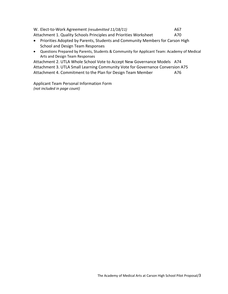W. Elect-to-Work Agreement *(resubmitted 11/18/11)* A67 Attachment 1. Quality Schools Principles and Priorities Worksheet A70

- Priorities Adopted by Parents, Students and Community Members for Carson High School and Design Team Responses
- Questions Prepared by Parents, Students & Community for Applicant Team: Academy of Medical Arts and Design Team Responses

Attachment 2. UTLA Whole School Vote to Accept New Governance Models A74 Attachment 3. UTLA Small Learning Community Vote for Governance Conversion A75 Attachment 4. Commitment to the Plan for Design Team Member 476

Applicant Team Personal Information Form *(not included in page count)*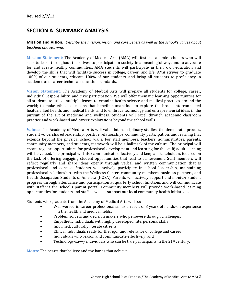# **SECTION A: SUMMARY ANALYSIS**

**Mission and Vision.** *Describe the mission, vision, and core beliefs as well as the school's values about teaching and learning.*

**Mission Statement**: The Academy of Medical Arts (AMA) will foster academic scholars who will seek to learn throughout their lives, to participate in society in a meaningful way, and to advocate for and create healthy communities. AMA students will participate in their own education and develop the skills that will facilitate success in college, career, and life. AMA strives to graduate 100% of our students, educate 100% of our students, and bring all students to proficiency in academic and career technical education standards.

**Vision Statement**: The Academy of Medical Arts will prepare all students for college, career, individual responsibility, and civic participation. We will offer thematic learning opportunities for all students to utilize multiple lenses to examine health science and medical practices around the world; to make ethical decisions that benefit humankind; to explore the broad interconnected health, allied health, and medical fields, and to embrace technology and entrepreneurial ideas in the pursuit of the art of medicine and wellness. Students will excel through academic classroom practice and work-based and career explorations beyond the school walls.

**Values:** The Academy of Medical Arts will value interdisciplinary studies, the democratic process, student voice, shared leadership, positive relationships, community participation, and learning that extends beyond the physical school walls. For staff members, teachers, administrators, parents, community members, and students, teamwork will be a hallmark of the culture. The principal will create regular opportunities for professional development and learning for the staff; adult learning will be valued. The principal will also communicate effectively and keep all stakeholders focused on the task of offering engaging student opportunities that lead to achievement. Staff members will reflect regularly and share ideas openly through verbal and written communication that is professional and concise. Students will actively participate in school leadership, maintaining professional relationships with the Wellness Center, community members, business partners, and Health Occupation Students of America (HOSA). Parents will actively support and monitor student progress through attendance and participation at quarterly school functions and will communicate with staff via the school's parent portal. Community members will provide work-based learning opportunities for students and staff as well as support our local community health initiatives.

Students who graduate from the Academy of Medical Arts will be:

- Well-versed in career professionalism as a result of 3 years of hands-on experience in the health and medical fields;
- Problem solvers and decision makers who persevere through challenges;
- Empathetic individuals with highly developed interpersonal skills;
- Informed, culturally literate citizens;
- Ethical individuals ready for the rigor and relevance of college and career;
- Individuals who reason and communicate effectively, and
- Technology-savvy individuals who can be true participants in the  $21<sup>st</sup>$  century.

**Motto:** The hearts that believe and the hands that achieve.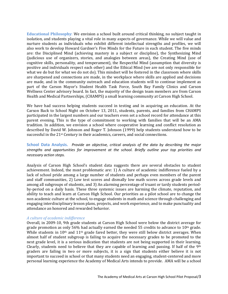**Educational Philosophy**: We envision a school built around critical thinking, no subject taught in isolation, and students playing a vital role in many aspects of governance. While we will value and nurture students as individuals who exhibit different intellectual strengths and profiles, we will also work to develop Howard Gardner's Five Minds for the Future in each student. The five minds are: the Disciplined Mind (achieving mastery in a subject or discipline), the Synthesizing Mind (judicious use of organizers, stories, and analogies between areas), the Creating Mind (use of cognitive skills, personality, and temperament), the Respectful Mind (assumption that diversity is positive and individuals respect each other) and the Ethical Mind (we are not only responsible for what we do but for what we do not do). This mindset will be fostered in the classroom where skills are sharpened and connections are made, in the workplace where skills are applied and decisions are made, and in the community outreach and education students will to continue implement as part of the Carson Mayor's Student Health Task Force, South Bay Family Clinics and Carson Wellness Center advisory board. In fact, the majority of the design team members are from Carson Health and Medical Partnerships, (CHAMPS) a small learning community at Carson High School.

We have had success helping students succeed in testing and in acquiring an education. At the Carson Back to School Night on October 13, 2011, students, parents, and families from CHAMPS participated in the largest numbers and our teachers even set a school record for attendance at this parent evening. This is the type of commitment to working with families that will be an AMA tradition. In addition, we envision a school where cooperative learning and conflict resolution as described by David W. Johnson and Roger T. Johnson (1999) help students understand how to be successful in the 21st Century in their academics, careers, and social connections.

**School Data Analysis.** *Provide an objective, critical analysis of the data by describing the major strengths and opportunities for improvement at the school. Briefly outline your top priorities and necessary action steps.* 

Analysis of Carson High School's student data suggests there are several obstacles to student achievement. Indeed, the most problematic are: 1) A culture of academic indifference fueled by a lack of school pride among a large number of students and perhaps even members of the parent and staff communities, 2) Low test scores and dismally low math scores across grade levels and among all subgroups of students, and 3) An alarming percentage of truant or tardy students periodby-period on a daily basis. These three systemic issues are harming the climate, reputation, and ability to teach and learn at Carson High School. Our priorities as a pilot school are to change the non academic culture at the school, to engage students in math and science through challenging and engaging interdisciplinary lesson plans, projects, and work experience, and to make punctuality and attendance an honored and rewarded behavior.

## *A culture of academic indifference*

Overall, in 2009-10, 9th grade students at Carson High School were below the district average for grade promotion as only 56% had actually earned the needed 55 credits to advance to  $10<sup>th</sup>$  grade. While students in  $10<sup>th</sup>$  and  $11<sup>th</sup>$  grade fared better, they were still below district averages. When almost half of student subgroup is failing to acquire the necessary grades to be promoted to the next grade level, it is a serious indication that students are not being supported in their learning. Clearly, students need to believe that they are capable of learning and passing. If half of the  $9<sup>th</sup>$ graders are failing in two or more subjects, it is a sign that students either believe it is not important to succeed in school or that many students need an engaging, student-centered and more personal learning experience the Academy of Medical Arts intends to provide. AMA will be a school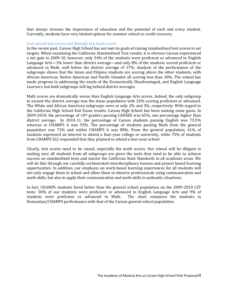that always stresses the importance of education and the potential of each and every student. Currently, students have very limited options for summer school or credit recovery.

#### *Low overall test scores and dismally low math scores*

In the recent past, Carson High School has not met its goals of raising standardized test scores to set targets. When examining the California Standardized Test results, it is obvious Carson experienced a net gain in 2009-10, however, only 34% of the students were proficient or advanced in English Language Arts—3% lower than district average—and only 8% of the students scored proficient or advanced in Math, well below the district average of 17%. Analysis of the performance of the subgroups shows that the Asian and Filipino students are scoring above the other students, with African American, Native American and Pacific Islander all scoring less than 30%. The school has made progress in addressing the needs of the Economically Disadvantaged, and English Language Learners, but both subgroups still lag behind district averages.

Math scores are dramatically worse than English Language Arts scores. Indeed, the only subgroup to exceed the district average was the Asian population with 20% scoring proficient or advanced. The White and African American subgroups were at only 2% and 3%, respectively. With regard to the California High School Exit Exam results, Carson High School has been making some gains. In 2009-2010, the percentage of  $10<sup>th</sup>$  graders passing CAHSEE was 65%, one percentage higher than district average. In 2010-11, the percentage of Carson students passing English was 73.5% whereas in CHAMPS it was 93%. The percentage of students passing Math from the general population was 72% and within CHAMPS it was 88%. From the general population, 41% of students expressed an interest to attend a four-year college or university, while 75% of students from CHAMPS SLC responded that they planned to attend a four-year school.

Clearly, test scores need to be raised, especially the math scores. Our school will be diligent in making sure all students from all subgroups are given the tools they need to be able to achieve success on standardized tests and master the California State Standards in all academic areas. We will do this through our carefully orchestrated interdisciplinary lessons and project based learning opportunities. In addition, our emphasis on work-based learning experiences for all students will not only engage them in school and allow them to observe professionals using communication and math skills, but also to apply their communication and math skills in authentic situations.

In fact, CHAMPS students fared better than the general school population on the 2009-2010 CST tests: 50% of our students were proficient or advanced in English Language Arts and 9% of students were proficient or advanced in Math. The chart compares the students in students were proficient or advanced in Math. Humanitas/CHAMPS performance with that of the Carson general school population.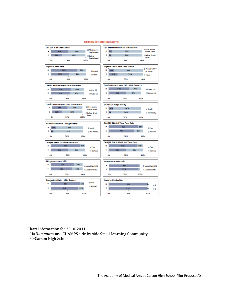

#### **CARSON SENIOR HIGH (8575)**

Chart Information for 2010-2011 --H=*Humanitas* and CHAMPS side by side Small Learning Community --C=Carson High School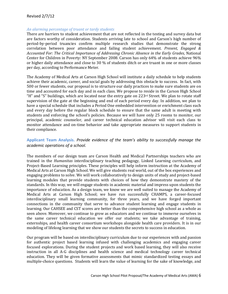## *An alarming percentage of truant or tardy students*

There are barriers to student achievement that are not reflected in the testing and survey data but are factors worthy of consideration. Students arriving late to school and Carson's high number of period-by-period truancies confirm multiple research studies that demonstrate the strong correlation between poor attendance and failing student achievement. *Present, Engaged & Accounted For: The Critical Importance of Addressing Chronic Absence in the Early Grades*, National Center for Children in Poverty: NY September 2008. Carson has only 64% of students achieve 96% or higher daily attendance and close to 30 % of students ditch or are truant in one or more classes per day, according to Performance Meter.

The Academy of Medical Arts at Carson High School will institute a daily schedule to help students achieve their academic, career, and social goals by addressing this obstacle to success. In fact, with 500 or fewer students, our proposal is to structure our daily practices to make sure students are on time and accounted for each day and in each class. We propose to reside in the Carson High School "H" and "S" buildings, which are located near the entry gate on 223rd Street. We plan to rotate staff supervision of the gate at the beginning and end of each period every day. In addition, we plan to have a special schedule that includes a Period One embedded intervention or enrichment class each and every day before the regular block schedule to ensure that the same adult is meeting with students and enforcing the school's policies. Because we will have only 25 rooms to monitor, our principal, academic counselor, and career technical education advisor will visit each class to monitor attendance and on-time behavior and take appropriate measures to support students in their compliance.

# **Applicant Team Analysis.** *Provide evidence of the team's ability to successfully manage the academic operations of a school.*

The members of our design team are Carson Health and Medical Partnerships teachers who are trained in the *Humanitas* interdisciplinary teaching pedagogy, Linked Learning curriculum, and Project-Based Learning principles. These principles will help inform instruction at the Academy of Medical Arts at Carson High School. We will give students real world, out of the box experiences and engaging problems to solve. We will work collaboratively to design units of study and project-based learning modules that provide students with choices of how they demonstrate mastery of the standards. In this way, we will engage students in academic material and impress upon students the importance of education. As a design team, we know we are well suited to manage the Academy of Medical Arts at Carson High School; we have run successfully CHAMPS, a career-focused interdisciplinary small learning community, for three years, and we have forged important connections in the community that serve to advance student learning and engage students in learning. Our CAHSEE and CST scores are better than the comprehensive high school as a whole as seen above. Moreover, we continue to grow as educators and we continue to immerse ourselves in the same career technical education we offer our students; we take advantage of training, externships, and health career consortium workshops alongside health care providers. It is in our modeling of lifelong learning that we show our students the secrets to success in education.

Our program will be based on interdisciplinary curriculum due to our experiences with and passion for authentic project based learning infused with challenging academics and engaging career focused explorations. During the student projects and work based learning, they will also receive instruction in all A-G disciplines and health science and medical technology career technical education. They will be given formative assessments that mimic standardized testing essays and multiple-choice questions. Students will learn the value of learning for the sake of knowledge, and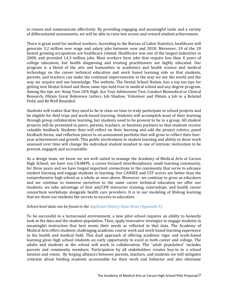to reason and communicate effectively. By providing engaging and meaningful tasks and a variety of differentiated assessments, we will be able to raise test scores and reward student achievement.

There is great need for medical workers. According to the Bureau of Labor Statistics, healthcare will generate 3.2 million new wage and salary jobs between now and 2018. Moreover, 10 of the 20 fastest growing occupations are healthcare related. Healthcare was one of the largest industries in 2008, and provided 14.3 million jobs. Most workers have jobs that require less than 4 years of college education, but health diagnosing and treating practitioners are highly educated. Our program is a blend of the arts and humanities in academics and health science and medical technology on the career technical education and work based learning side so that students, parents, and teachers can make the continual improvements in the way we see the world and the way we acquire and use knowledge. The website, The Dental School Nation, has a top ten tips for getting into Dental School and these same tips hold true to medical school and any degree program. Among the tips are: Keep Your GPA High, Ace Your Admissions Test, Conduct Biomedical or Clinical Research, Obtain Great Reference Letters, Job Shadow, Volunteer and Obtain a Job in a Related Field, and Be Well Rounded.

Students will realize that they need to be in class on time to truly participate in school projects and be eligible for field trips and work-based learning. Students will accomplish most of their learning through group collaborative learning, but students need to be present to be in a group. All student projects will be presented to peers, parents, teachers, or business partners so that students receive valuable feedback. Students then will reflect on their learning and add the project rubrics, panel feedback forms, and reflection pieces to an assessment portfolio that will grow to reflect their fouryear achievement and growth. This public involvement in student learning and ability to show work assessed over time will change the individual student mindset to one of intrinsic motivation to be present, engaged, and accountable.

As a design team, we know we are well suited to manage the Academy of Medical Arts at Carson High School; we have run CHAMPS, a career-focused interdisciplinary small learning community, for three years and we have forged important connections in the community that serve to advance student learning and engage students in learning. Our CAHSEE and CST scores are better than the comprehensive high school as a whole as seen above. Moreover, we continue to grow as educators and we continue to immerse ourselves in the same career technical education we offer our students; we take advantage of first aid/CPR instructor training, externships, and health career consortium workshops alongside health care providers. It is in our modeling of lifelong learning that we show our students the secrets to success in education.

## *School-level data can be found in the Applicant History Data Sheet (Appendix F).*

To be successful in a turnaround environment, a new pilot school requires an ability to honestly look at the data and the student population. Then, apply innovative strategies to engage students in meaningful instruction that best meets their needs as reflected in that data. The Academy of Medical Arts offers students challenging academic course work and work based learning experience in the health and medical field. This dual approach of offering academic rigor and work-based learning gives high school students an early opportunity to excel in both career and college. The adults and students at the school will work in collaboration. The "adult population" includes parents and community members. Participation by all stakeholders creates buy-in to a school mission and vision. By forging alliances between parents, teachers, and students we will mitigates criticism about holding students accountable for their work and behavior and also eliminate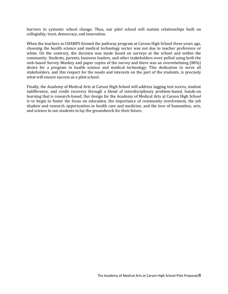barriers to systemic school change. Thus, our pilot school will sustain relationships built on collegiality, trust, democracy, and innovation.

When the teachers in CHAMPS formed the pathway program at Carson High School three years ago, choosing the health science and medical technology sector was not due to teacher preference or whim. On the contrary, the decision was made based on surveys at the school and within the community. Students, parents, business leaders, and other stakeholders were polled using both the web-based Survey Monkey and paper copies of the survey and there was an overwhelming (88%) desire for a program in health science and medical technology. This dedication to serve all stakeholders, and this respect for the needs and interests on the part of the students, is precisely what will ensure success as a pilot school.

Finally, the Academy of Medical Arts at Carson High School will address lagging test scores, student indifference, and credit recovery through a blend of interdisciplinary problem-based, hands-on learning that is research-based. Our design for the Academy of Medical Arts at Carson High School is to begin to foster the focus on education, the importance of community involvement, the job shadow and research opportunities in health care and medicine, and the love of humanities, arts, and science in our students to lay the groundwork for their future.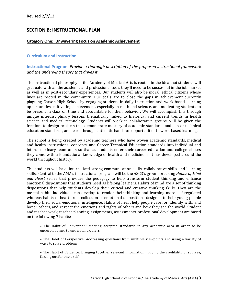# **SECTION B: INSTRUCTIONAL PLAN**

# **Category One: Unwavering Focus on Academic Achievement**

# **Curriculum and Instruction**

# **Instructional Program.** *Provide a thorough description of the proposed instructional framework and the underlying theory that drives it.*

The instructional philosophy of the Academy of Medical Arts is rooted in the idea that students will graduate with all the academic and professional tools they'll need to be successful in the job market as well as in post-secondary experiences. Our students will also be moral, ethical citizens whose lives are rooted in the community. Our goals are to close the gaps in achievement currently plaguing Carson High School by engaging students in daily instruction and work-based learning opportunities, cultivating achievement, especially in math and science, and motivating students to be present in class on time and accountable for their behavior. We will accomplish this through unique interdisciplinary lessons thematically linked to historical and current trends in health science and medical technology. Students will work in collaborative groups, will be given the freedom to design projects that demonstrate mastery of academic standards and career technical education standards, and learn through authentic hands-on opportunities in work-based learning.

The school is being created by academic teachers who have woven academic standards, medical and health instructional concepts, and Career Technical Education standards into individual and interdisciplinary team units so that as students enter their career education and college classes they come with a foundational knowledge of health and medicine as it has developed around the world throughout history.

The students will have internalized strong communication skills, collaborative skills and learning skills. Central to the AMA's instructional program will be the ASCD's groundbreaking *Habits of Mind and Heart* series that provides the pedagogy to help transform student thinking and enhance emotional dispositions that students need as lifelong learners. Habits of mind are a set of thinking dispositions that help students develop their critical and creative thinking skills. They are the mental habits individuals can develop to render their thinking and learning more self-regulated whereas habits of heart are a collection of emotional dispositions designed to help young people develop their social-emotional intelligence. Habits of heart help people care for, identify with, and honor others, and respect the emotions and rights of others and how they see the world. Student and teacher work, teacher planning, assignments, assessments, professional development are based on the following 7 habits:

- The Habit of Convention: Meeting accepted standards in any academic area in order to be understood and to understand others
- The Habit of Perspective: Addressing questions from multiple viewpoints and using a variety of ways to solve problems
- The Habit of Evidence: Bringing together relevant information, judging the credibility of sources, finding out for one's self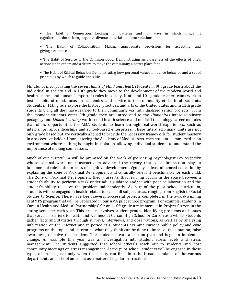• The Habit of Connection: Looking for patterns and for ways in which things fit together in order to bring together diverse material and form solutions

• The Habit of Collaboration: Making appropriate provisions for accepting and giving assistance

• The Habit of Service to the Common Good: Demonstrating an awareness of the effects of one's actions upon others and a desire to make the community a better place for all

• The Habit of Ethical Behavior: Demonstrating how personal values influence behavior and a set of principles by which to guide one's life

Mindful of incorporating the seven *Habits of Mind and Heart*, students in 9th grade learn about the individual in society and in 10th grade they move to the development of the modern world and health science and humans' important roles in society. Ninth and  $10<sup>th</sup>$  grade teacher teams work to instill habits of mind, focus on academics, and service to the community ethics in all students. Students in 11th grade explore the history, practices, and arts of the United States and in 12th grade students bring all they have learned to their community via individualized senior projects. From the moment students enter 9th grade they are introduced to the *Humanitas* interdisciplinary pedagogy and *Linked Learning* work-based health science and medical technology career modules that offers opportunities for AMA students to learn through real-world experiences, such as internships, apprenticeships and school-based enterprises. These interdisciplinary units are not only grade based but are vertically aligned to provide the necessary framework for student mastery in a successive ladder. Upon entering the Academy of Medical Arts, each student is immersed in an environment where nothing is taught in isolation, allowing individual students to understand the importance of making connections.

Much of our curriculum will be premised on the work of pioneering psychologist Lev Vygotsky whose seminal work on constructivism advanced the theory that social interaction plays a fundamental role in the process of cognitive development. Vgotsky's ideas influenced education by explaining the Zone of Proximal Development and culturally relevant benchmarks for each child. The Zone of Proximal Development theory asserts, that learning occurs in the space between a student's ability to perform a task under adult guidance and/or with peer collaboration and the student's ability to solve the problem independently. As part of the pilot school curriculum, students will be engaged in health-related topics in all subject areas, ranging from English to Social Studies to Science. There have been several successful projects completed in the award-winning CHAMPS program that will be replicated in our AMA pilot school program. For example, students in Carson Health and Medical Partnerships' 9th and 10th grade are immersed in Project Citizen in the spring semester each year. This project involves student groups identifying problems and issues that serve as barriers to health and wellness at Carson High School or Carson as a whole. Students gather facts and statistics through surveys, interviews, and observations, as well as by analyzing information on the Internet and in periodicals. Students examine current public policy and civic programs on the topic and determine what they think can be done to improve the situation, raise awareness, or solve the problem. The students create an action plan and begin to implement change. An example this year was an investigation into student stress levels and stress management. The students suggested that school officials reach out to students and host community meetings on stress management. At the pilot school, students will be engaged in these types of projects, not only when the faculty can fit it into the broad mandates of the various departments and school units, but as a matter of regular instruction!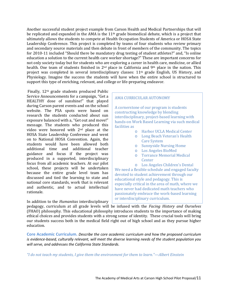Another successful student project example from Carson Health and Medical Partnerships that will be replicated and expanded in the AMA is the 11th grade biomedical debate, which is a project that ultimately allows the students to compete at Health Occupation Students of America or HOSA State Leadership Conference. This project is completed by teams of four students who review primary and secondary source materials and then debate in front of members of the community. The topics for 2010-11 included "Should there be mandatory drug testing of student athletes?" and, "Is online education a solution to the current health care worker shortage?" These are important concerns for not only society today but for students who are exploring a career in health care, medicine, or allied health. One team of students finished in 2<sup>nd</sup> place in California and 9<sup>th</sup> place in the nation. This project was completed in several interdisciplinary classes: 11th grade English, US History, and Physiology. Imagine the success the students will have when the entire school is structured to support this type of enriching, relevant, and college or life-preparing endeavor.

Finally, 12th grade students produced Public Service Announcements for a campaign, "Get a HEALTHY dose of sunshine!" that played during Carson parent events and on the school website. The PSA spots were based on research the students conducted about sun exposure balanced with a, "Get out and move!" message. The students who produced this video were honored with 2nd place at the HOSA State Leadership Conference and went on to National HOSA Convention. Again, the students would have been allowed both additional time and additional teacher guidance and focus if the project was produced in a supported, interdisciplinary focus from all academic teachers. At our pilot school, these projects will be undertaken because the entire grade level team has discussed and tied the learning to state and national core standards, work that is relevant and authentic, and to actual intellectual rationale.

In addition to the *Humanitas* interdisciplinary

# AMA CURRICULAR AUTONOMY

A cornerstone of our program is students constructing knowledge by blending interdisciplinary, project-based learning with hands-on Work Based Learning via such medical facilities as

- o Harbor UCLA Medical Center
- o Long Beach Veteran's Health Care System
- o Sunnyside Nursing Home
- o Los Angeles BioMed
- o Torrance Memorial Medical **Center**

o Los Angeles Children's Dental We need a flexible schedule and engaged faculty devoted to student achievement through our educational style and pedagogy. This is especially critical in the area of math, where we have never had dedicated math teachers who passionately embrace the work-based learning or interdisciplinary curriculum.

pedagogy, curriculum at all grade levels will be infused with the *Facing History and Ourselves* (FHAO) philosophy. This educational philosophy introduces students to the importance of making ethical choices and provides students with a strong sense of identity. These crucial tools will bring our students success both in the medical field right out of high school and as they pursue higher education.

**Core Academic Curriculum.** *Describe the core academic curriculum and how the proposed curriculum is evidence-based, culturally relevant, will meet the diverse learning needs of the student population you will serve, and addresses the California State Standards.* 

*"I do not teach my students, I give them the environment for them to learn."—Albert Einstein*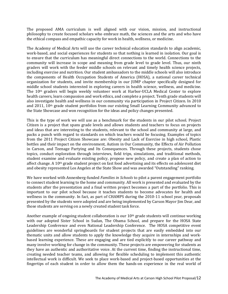The proposed AMA curriculum is well aligned with our vision, mission, and instructional philosophy to create focused scholars who embrace math, the sciences and the arts and who have the ethical compass and empathic capacity for work in health, wellness, or medicine.

The Academy of Medical Arts will use the career technical education standards to align academic, work-based, and social experiences for students so that nothing is learned in isolation. Our goal is to ensure that the curriculum has meaningful direct connections to the world. Connections to the community will increase in scope and meaning from grade level to grade level. Thus, our ninth graders will work with the feeder middle schools on relevant and timely health science projects, including exercise and nutrition. Our student ambassadors to the middle schools will also introduce the components of Health Occupation Students of America (HOSA), a national career technical organization for students, and invite membership in our JUMP chapter specifically designed for middle school students interested in exploring careers in health science, wellness, and medicine. The 10th graders will begin weekly volunteer work at Harbor-UCLA Medical Center to explore health careers, learn compassion and work ethics, and complete a project. Tenth grade students will also investigate health and wellness in our community via participation in Project Citizen. In 2010 and 2011, 10th grade student portfolios from our existing Small Learning Community advanced to the State Showcase and won recognition for the ideas and policy changes presented.

This is the type of work we will use as a benchmark for the students in our pilot school. Project Citizen is a project that spans grade levels and allows students and teachers to focus on projects and ideas that are interesting to the students, relevant to the school and community at large, and packs a punch with regard to standards on which teachers would be focusing. Examples of topics from the 2011 Project Citizen Showcase are: Obesity and Lack of Exercise in high school, Plastic bottles and their impact on the environment, Autism in Our Community, the Effects of Air Pollution in Carson, and Teenage Partying and Its Consequences. Through these projects, students chose topics, conduct exploration through interviews, field trips, simulations, and traditional methods, student examine and evaluate existing policy, propose new policy, and create a plan of action to affect change. A 10th grade student project on fast food advertising and its effects on adolescent diet and obesity represented Los Angeles at the State Show and was awarded "Outstanding" ranking.

We have worked with Annenberg-funded *Families in Schools* to pilot a parent engagement portfolio to connect student learning to the home and community. All work is presented and evaluated by the students after the presentation and a final written project becomes a part of the portfolio. This is important to our pilot school because it teaches students to become advocates for health and wellness in the community. In fact, as part of CHAMPS during the 2010-11 school year, proposals presented by the students were adopted and are being implemented by Carson Mayor Jim Dear, and those students are serving on a newly created student task force.

Another example of ongoing student collaboration is our  $10<sup>th</sup>$  grade students will continue working with our adopted Sister School in Sudan, The Obama School, and prepare for the HOSA State Leadership Conference and even National Leadership Conference. The HOSA competitive event guidelines are wonderful springboards for student projects that are easily embedded into our thematic units and allow students to apply the knowledge they acquire in internships and workbased learning experience. These are engaging and are tied explicitly to our career pathway and many involve working for change in the community. These projects are empowering for students as they have an authentic and authoritative voice. At the current time, finding the instructional time, creating needed teacher teams, and allowing for flexible scheduling to implement this authentic intellectual work is difficult. We seek to place work-based and project-based opportunities at the fingertips of each student in order to allow them the hands-on experience in the real world of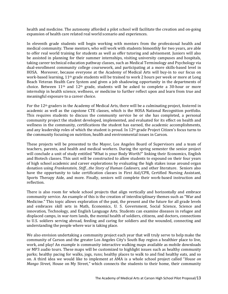health and medicine. The autonomy afforded a pilot school will facilitate the creation and on-going expansion of health care related real world scenario and experiences.

In eleventh grade students will begin working with mentors from the professional health and medical community. These mentors, who will work with students bimonthly for two years, are able to offer real world training for students as well as offer tutoring and advisement. Juniors will also be assisted in planning for their summer internships, visiting university campuses and hospitals, taking career technical education pathway classes, such as Medical Terminology and Psychology via dual-enrollment community college coursework, and participating at a more skills-based level in HOSA. Moreover, because everyone at the Academy of Medical Arts will buy-in to our focus on work-based learning, 11th grade students will be trained to work 2 hours per week or more at Long Beach Veteran Health Care System and given a job shadowing opportunity in the departments of choice. Between  $11<sup>th</sup>$  and  $12<sup>th</sup>$  grade, students will be asked to complete a 30-hour or more internship in health science, wellness, or medicine to further reflect upon and learn from true and meaningful exposure to a career choice.

For the 12th graders in the Academy of Medical Arts, there will be a culminating project, fostered in academic as well as the capstone CTE classes, which is the HOSA National Recognition portfolio. This requires students to discuss the community service he or she has completed, a personal community project the student developed, implemented, and evaluated for its effect on health and wellness in the community, certifications the student has earned, the academic accomplishments, and any leadership roles of which the student is proud. In  $12<sup>th</sup>$  grade Project Citizen's focus turns to the community focusing on nutrition, health and environmental issues in Carson.

These projects will be presented to the Mayor, Los Angeles Board of Supervisors and a team of teachers, parents, and health and medical workers. During the spring semester the senior project will conclude a unit of study entitled "What is your Body Worth?" linking their Economics, English and Biotech classes. This unit will be constructed to allow students to expound on their four years of high school academic and career explorations by evaluating the high stakes issue around organ donation using *Frankenstein, Stiff…the Story of Human Cadavers,* and other literature. Seniors also have the opportunity to take certification classes in First Aid/CPR, Certified Nursing Assistant, Sports Therapy Aide, and more. Finally, seniors will complete their work-based instruction and reflection.

There is also room for whole school projects that align vertically and horizontally and embrace community service. An example of this is the creation of interdisciplinary themes such as "War and Medicine." This topic allows exploration of the past, the present and the future for all grade levels and embraces skill sets in Math, Economics, U. S. Government, Social Science, Science and innovation, Technology, and English Language Arts. Students can examine diseases in refugee and displaced camps, in war-torn lands, the mental health of soldiers, citizens, and doctors, connections to U.S. soldiers serving abroad, feeding and caring for soldiers and the wounded, connecting and understanding the people where war is taking place.

We also envision undertaking a community project each year that will truly serve to help make the community of Carson and the greater Los Angeles City's South Bay region a healthier place to live, work, and play! An example is community interactive walking maps available as mobile downloads or MP3 audio tours. These maps will be customized to highlight issues such as healthy community parks; healthy pacing for walks, jogs, runs; healthy places to walk to and find healthy eats, and so on. A third idea we would like to implement at AMA is a whole school project called "*House on Mango Street*, House on My Street," which connects the students to their home, their community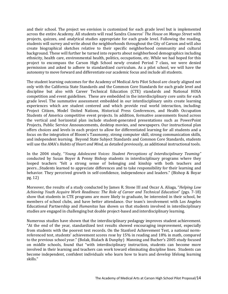and their school. The project we envision is customized for each grade level but is implemented across the entire Academy. All students will read Sandra Cisneros' *The House on Mango Street* with projects, quizzes, and analytical studies appropriate for each grade level. Following the reading, students will survey and write about the neighborhoods throughout the City of Carson and will also create biographical sketches relative to their specific neighborhood community and cultural background. These will further be turned into reports about neighborhood demographics including ethnicity, health care, environmental health, politics, occupations, etc. While we had hoped for this project to encompass the Carson High School newly created Period 7 class, we were denied permission and asked to adhere to standardized curriculum. As a pilot school, we will have the autonomy to move forward and differentiate our academic focus and include all students.

The student learning outcomes for the Academy of Medical Arts Pilot School are clearly aligned not only with the California State Standards and the Common Core Standards for each grade level and discipline but also with Career Technical Education (CTE) standards and National HOSA competition and event guidelines. These are embedded in the interdisciplinary core units for each grade level. The summative assessment embedded in our interdisciplinary units create learning experiences which are student centered and which provide real world interaction, including: Project Citizen, Model United Nations, Historical Press Conferences, and Health Occupation Students of America competitive event projects. In addition, formative assessments found across the vertical and horizontal plan include student-generated presentations such as PowerPoint Projects, Public Service Announcements, desktop movies, and newspapers. Our instructional plan offers choices and levels in each project to allow for differentiated learning for all students and a focus on the integration of Bloom's Taxonomy, strong computer skill, strong communication skills, and independent learning. Beyond State Subject Standards and Common Core Standards, students will use the AMA's *Habits of Heart and Mind*, as detailed previously, as additional instructional tools.

In the 2004 study, "*Young Adolescent Voices: Student Perceptions of Interdisciplinary Teaming"*  conducted by Susan Boyer & Penny Bishop students in interdisciplinary programs where they looped teachers "felt a strong sense of belonging and kinship with both teachers and peers…Students learned to appreciate differences and to take responsibility for their learning and behavior. They perceived growth in self-confidence, independence and leaders." (Bishop & Boyar pg. 12)

Moreover, the results of a study conducted by James R. Stone III and Oscar A. Aliaga, "*Helping Low Achieving Youth Acquire Work Readiness: The Role of Career and Technical Education*" (pgs. 7-18) show that students in CTE programs are more likely to graduate, be interested in their school, be members of school clubs, and have better attendance. Our team's involvement with Los Angeles Educational Partnership and *Humanitas* has shown us that students involved in interdisciplinary studies are engaged in challenging but doable project-based and interdisciplinary learning.

Numerous studies have shown that the interdisciplinary pedagogy improves student achievement. "At the end of the year, standardized test results showed encouraging improvement, especially from students with the poorest test records. On the Stanford Achievement Test, a national normreferenced test, students' achievement scores rose by 15% in reading and 18% in math, compared to the previous school year." (Bolak, Bialach & Dunphy) Manning and Bucher's 2005 study focused on middle schools, found that "with interdisciplinary instruction, students can become more involved in their learning and teachers can work toward eliminating discipline lines. Students can become independent, confident individuals who learn how to learn and develop lifelong learning skills."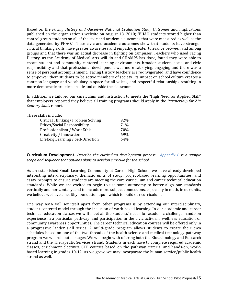Based on the *Facing History and Ourselves National Evaluation Study Outcomes* and Implications published on the organization's website on August 18, 2010; "FHAO students scored higher than control group students on all of the civic and academic outcomes that were measured as well as the data generated by FHAO." These civic and academic outcomes show that students have stronger critical thinking skills, have greater awareness and empathy, greater tolerance between and among groups and that there was an actual decrease in fighting on campuses. Teachers who used Facing History, as the Academy of Medical Arts will do and CHAMPS has done, found they were able to create student and community-centered learning environments, broader students social and civic responsibility and that professional development was more satisfying, engaging and there was a sense of personal accomplishment. Facing History teachers are re-invigorated, and have confidence to empower their students to be active members of society. Its impact on school culture creates a common language and vocabulary, a space for all voices, and respectful relationships resulting in more democratic practices inside and outside the classroom.

In addition, we tailored our curriculum and instruction to meets the "High Need for Applied Skill" that employers reported they believe all training programs should apply in the *Partnership for 21st Century Skills* report.

| These skills include:              |     |
|------------------------------------|-----|
| Critical Thinking/Problem Solving  | 92% |
| Ethics/Social Responsibility       | 71% |
| Professionalism / Work Ethic       | 70% |
| Creativity / Innovation            | 69% |
| Lifelong Learning / Self-Direction | 64% |
|                                    |     |

**Curriculum Development.** *Describe the curriculum development process. Appendix C is a sample scope and sequence that outlines plans to develop curricula for the school.*

As an established Small Learning Community at Carson High School, we have already developed interesting interdisciplinary, thematic units of study, project-based learning opportunities, and essay prompts to ensure students are meeting the core curriculum and career technical education standards. While we are excited to begin to use some autonomy to better align our standards vertically and horizontally, and to include more subject connections, especially in math, in our units, we believe we have a healthy foundation upon which to build our curriculum.

One way AMA will set itself apart from other programs is by extending our interdisciplinary, student-centered model through the inclusion of work-based learning. In our academic and career technical education classes we will meet all the students' needs for academic challenge, hands-on experience in a particular pathway, and participation in the civic activism, wellness education or community awareness opportunities. The career technical education courses will be offered only in a progressive ladder skill series. A multi-grade program allows students to create their own schedules based on one of the two threads of the health science and medical technology pathway program we will roll out in stages. We will begin with offering both the Biotechnology and Research strand and the Therapeutic Services strand. Students in each have to complete required academic classes, enrichment electives, CTE courses based on the pathway criteria, and hands-on, workbased learning in grades 10-12. As we grow, we may incorporate the human service/public health strand as well.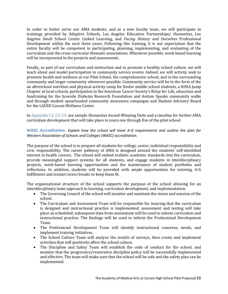In order to better serve our AMA students, and as a new faculty team, we will participate in trainings provided by Adaptive Schools, Los Angeles Education Partnerships/ *Humanitas*, Los Angeles Small School Center Linked Learning, and *Facing History and Ourselves* Professional Development within the next three years. Following this training, it is our expectation that the entire faculty will be competent in participating, planning, implementing, and evaluating of the curriculum and the cross-curricular thematic associations. Whenever possible, work-based learning will be incorporated in the projects and assessments.

Finally, as part of our curriculum and instruction and to promote a healthy school culture, we will teach about and model participation in community service events. Indeed, we will activity seek to promote health and wellness at our Pilot School, the comprehensive school, and in the surrounding community and larger community whenever possible. Community service will be in the form of the an afterschool nutrition and physical activity camp for feeder middle school students, a HOSA Jump Chapter at local schools, participation in the American Cancer Society's Relay for Life, education and fundraising for the Juvenile Diabetes Research Foundation and Autism Speaks community walks and through student spearheaded community awareness campaigns and Student Advisory Board for the LAUSD Carson Wellness Center.

In Appendix C2, C3, C4, are sample *Humanitas* Award-Winning Units and a timeline for further AMA curriculum development that will take place in years one through five of the pilot school.

**WASC Accreditation.** *Explain how the school will meet A-G requirements and outline the plan for Western Association of Schools and Colleges (WASC) accreditation.*

The purpose of the school is to prepare all students for college, career, individual responsibility and civic responsibility. The career pathway of AMA is designed around the students' self-identified interest in health careers. The school will embed realistic academic standards into the curriculum, provide meaningful support systems for all students, and engage students in interdisciplinary projects, work-based learning opportunities and the maintenance of student portfolios and reflections. In addition, students will be provided with ample opportunities for tutoring, A-G fulfillment and instant recess breaks to keep them fit.

The organizational structure of the school supports the purpose of the school allowing for an interdisciplinary team approach to learning, curriculum development, and implementation.

- The Governing Council of the school will monitor and maintain the vision and mission of the school.
- The Curriculum and Assessment Team will be responsible for insuring that the curriculum is designed and instructional practice is implemented; assessment and testing will take place as scheduled; subsequent data from assessment will be used to inform curriculum and instructional practice. The findings will be used to inform the Professional Development Team.
- The Professional Development Team will identify instructional concerns, needs, and implement training initiatives.
- The School Culture Team will analyze the results of surveys, then create and implement activities that will positively affect the school culture.
- The Discipline and Safety Team will establish the code of conduct for the school, and monitor that the progressive/restorative discipline policy will be successfully implemented and effective. The team will make sure that the school will be safe and the safety plan can be implemented.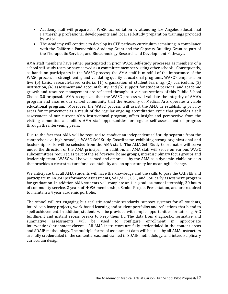- Academy staff will prepare for WASC accreditation by attending Los Angeles Educational Partnership professional developments and local self-study preparation trainings provided by WASC.
- The Academy will continue to develop its CTE pathway curriculum remaining in compliance with the California Partnership Academy Grant and the Capacity Building Grant as part of the Therapeutic Services, and Biotechnology Research and Development Pathways.

AMA staff members have either participated in prior WASC self-study processes as members of a school self-study team or have served as a committee member visiting other schools. Consequently, as hands-on participants in the WASC process, the AMA staff is mindful of the importance of the WASC process in strengthening and validating quality educational programs. WASC's emphasis on five (5) basic, research-based criteria: (1) organization of student learning, (2) curriculum, (3) instruction, (4) assessment and accountability, and (5) support for student personal and academic growth and resource management are reflected throughout various sections of this Public School Choice 3.0 proposal. AMA recognizes that the WASC process will validate the integrity of AMA's program and assures our school community that the Academy of Medical Arts operates a viable educational program. Moreover, the WASC process will assist the AMA in establishing priority areas for improvement as a result of the regular ongoing accreditation cycle that provides a self assessment of our current AMA instructional program, offers insight and perspective from the visiting committee and offers AMA staff opportunities for regular self assessment of progress through the intervening years.

Due to the fact that AMA will be required to conduct an independent self-study separate from the comprehensive high school, a WASC Self Study Coordinator, exhibiting strong organizational and leadership skills, will be selected from the AMA staff. The AMA Self Study Coordinator will serve under the direction of the AMA principal. In addition, all AMA staff will serve on various WASC subcommittees required as part of the self-review: home groups, interdisciplinary focus groups and leadership team. WASC will be welcomed and embraced by the AMA as a dynamic, viable process that provides a clear structure for accountability and an opportunity for meaningful change.

We anticipate that all AMA students will have the knowledge and the skills to pass the CAHSEE and participate in LAUSD performance assessments, SAT/ACT, CST, and CSU early assessment program for graduation. In addition AMA students will complete an 11th grade summer internship, 30 hours of community service, 2 years of HOSA membership, Senior Project Presentation, and are required to maintain a 4 year academic portfolio.

The school will set engaging but realistic academic standards, support systems for all students, interdisciplinary projects, work-based learning and student portfolios and reflections that blend to spell achievement. In addition, students will be provided with ample opportunities for tutoring, A-G fulfillment and instant recess breaks to keep them fit. The data from diagnostic, formative and summative assessments will be used to configure enrollment in appropriate summative assessments will be used to configure enrollment in appropriate intervention/enrichment classes. All AMA instructors are fully credentialed in the content areas and SDAIE methodology. The multiple forms of assessment data will be used by all AMA instructors are fully credentialed in the content areas, and trained in SDAIE methodology, and interdisciplinary curriculum design.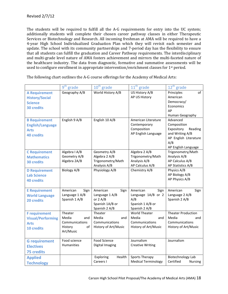The students will be required to fulfill all the A-G requirements for entry into the UC system; additionally students will complete their chosen career pathway classes in either Therapeutic Services or Biotechnology and Research. All incoming freshman at AMA will be required to have a 4-year High School Individualized Graduation Plan which they will revisit each semester and update. The school with its community partnerships and 7-period day has the flexibility to ensure that all students can fulfill the graduation and Career Pathway requirements. The interdisciplinary and multi-grade level nature of AMA fosters achievement and mirrors the multi-faceted nature of the healthcare industry. The data from diagnostic, formative and summative assessments will be used to configure enrollment in appropriate intervention/enrichment classes for 1<sup>st</sup> period.

The following chart outlines the A-G course offerings for the Academy of Medical Arts:

|                          | $9th$ grade      | 10 <sup>th</sup> grade | $11th$ grade               | 12 <sup>th</sup> grade      |
|--------------------------|------------------|------------------------|----------------------------|-----------------------------|
| <b>A Requirement</b>     | Geography A/B    | World History A/B      | US History A/B             | Principles<br>of            |
| <b>History/Social</b>    |                  |                        | AP US History              | American                    |
| <b>Science</b>           |                  |                        |                            | Democracy/                  |
| <b>30 credits</b>        |                  |                        |                            | Economics                   |
|                          |                  |                        |                            | AP                          |
|                          |                  |                        |                            | Human Geography             |
| <b>B Requirement</b>     | English 9 A/B    | English 10 A/B         | American Literature        | Advanced                    |
| <b>English/Language</b>  |                  |                        | Contemporary               | Composition                 |
| <b>Arts</b>              |                  |                        | Composition                | Expository<br>Reading       |
| <b>40 credits</b>        |                  |                        | AP English Language        | and Writing A/B             |
|                          |                  |                        |                            | AP English Literature       |
|                          |                  |                        |                            | A/B                         |
|                          |                  |                        |                            | AP English Language         |
| <b>C</b> Requirement     | Algebra I A/B    | Geometry A/B           | Algebra 2 A/B              | Trigonometry/Math           |
| <b>Mathematics</b>       | Geometry A/B     | Algebra 2 A/B          | Trigonometry/Math          | Analysis A/B                |
| <b>30 credits</b>        | Algebra 2A/B     | Trigonometry/Math      | Analysis A/B               | AP Calculus A/B             |
|                          |                  | Analysis A/B           | AP Calculus A/B            | AP Statistics A/B           |
| <b>D</b> Requirement     | Biology A/B      | Physiology A/B         | Chemistry A/B              | Physics A/B                 |
| <b>Lab Science</b>       |                  |                        |                            | AP Biology A/B              |
| <b>40 credits</b>        |                  |                        |                            | AP Physics A/B              |
|                          |                  |                        |                            |                             |
| <b>E</b> Requirement     | American<br>Sign | American<br>Sign       | American<br>Sign           | American<br>Sign            |
| <b>World Language</b>    | Language 1 A/B   | Language 1 A/B         | Language 1A/B or 2         | Language 2 A/B              |
| 20 credits               | Spanish 1 A/B    | or $2 A/B$             | A/B                        | Spanish 2 A/B               |
|                          |                  | Spanish 1A/B or        | Spanish 1 A/B or           |                             |
|                          |                  | Spanish 2 A/B          | Spanish 2 A/B              |                             |
| <b>F</b> requirement     | Theater          | Theater                | <b>World Theater</b>       | <b>Theater Production</b>   |
| <b>Visual/Performing</b> | Media<br>and     | Media<br>and           | Media<br>and               | Media<br>and                |
| <b>Arts</b>              | Communications   | Communications         | Communications             | Communications              |
| 10 credits               | History<br>of    | History of Art/Music   | History of Art/Music       | History of Art/Music        |
|                          | Art/Music        |                        |                            |                             |
|                          |                  |                        |                            |                             |
| <b>G</b> requirement     | Food science     | <b>Food Science</b>    | Journalism                 | Journalism                  |
| <b>Electives</b>         | Humanities       | Digital Imaging        | <b>Creative Writing</b>    |                             |
| <b>75 credits</b>        |                  |                        |                            |                             |
| <b>Applied</b>           |                  | Exploring<br>Health    | <b>Sports Therapy</b>      | Biotechnology Lab           |
|                          |                  | Careers I              | <b>Medical Terminology</b> | Certified<br><b>Nursing</b> |
| <b>Technology</b>        |                  |                        |                            |                             |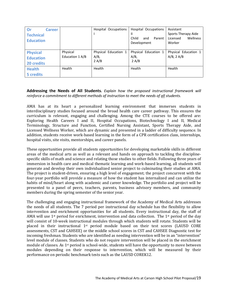| Or<br><b>Career</b><br><b>Technical</b><br><b>Education</b> |                             | Hospital Occupations                     | Hospital Occupations<br>Child<br>Parent<br>and<br>Development | Assistant<br>Sports Therapy Aide<br>Wellness<br>Licensed<br>Worker |
|-------------------------------------------------------------|-----------------------------|------------------------------------------|---------------------------------------------------------------|--------------------------------------------------------------------|
| <b>Physical</b><br><b>Education</b><br>20 credits           | Physical<br>Education 1 A/B | Physical Education 1<br>$A/B$ ,<br>2 A/B | Physical Education 1<br>$A/B$ ,<br>2 A/B                      | Physical Education 1<br>$A/B$ , 2 $A/B$                            |
| <b>Health</b><br><b>5</b> credits                           | Health                      | Health                                   | Health                                                        | Health                                                             |

**Addressing the Needs of All Students.** *Explain how the proposed instructional framework will reinforce a commitment to different methods of instruction to meet the needs of all students.*

AMA has at its heart a personalized learning environment that immerses students in interdisciplinary studies focused around the broad health care career pathway. This ensures the curriculum is relevant, engaging and challenging. Among the CTE courses to be offered are: Exploring Health Careers I and II, Hospital Occupations, Biotechnology I and II, Medical Terminology, Structure and Function, Certified Nursing Assistant, Sports Therapy Aide, and Licensed Wellness Worker, which are dynamic and presented in a ladder of difficulty sequence. In addition, students receive work-based learning in the form of a CPR certification class, internships, hospital visits, site visits, mentorships, and career panels.

These opportunities provide all students opportunities for developing marketable skills in different areas of the medical arts as well as a relevant and hands on approach to tackling the disciplinespecific skills of math and science and relating those studies to other fields. Following three years of immersion in health care and medical thematic learning and work-based learning, all students will generate and develop their own individualized senior project to culminating their studies at AMA. The project is student-driven, ensuring a high level of engagement; the project concurrent with the four-year portfolio will provide a measure of how the student has internalized and can utilize the habits of mind/heart along with academic and career knowledge. The portfolio and project will be presented to a panel of peers, teachers, parents, business advisory members, and community members during the spring semester of the senior year.

The challenging and engaging instructional framework of the Academy of Medical Arts addresses the needs of all students. The 7 period per instructional day schedule has the flexibility to allow intervention and enrichment opportunities for all students. Every instructional day, the staff of AMA will use 1<sup>st</sup> period for enrichment, intervention and data collection. The 1<sup>st</sup> period of the day will consist of 10-week instructional modules through which students will rotate. Students will be placed in their instructional 1st period module based on their test scores (LAUSD CORE assessments, CST and CAHSEE) or the middle school scores in CST and CAHSEE Diagnostic test for incoming freshman. Students who are identified as needing intervention will be in an "intervention" level module of classes. Students who do not require intervention will be placed in the enrichment module of classes. As 1st period is school-wide, students will have the opportunity to move between modules depending on their response to intervention, which will be measured by their performance on periodic benchmark tests such as the LAUSD COREK12.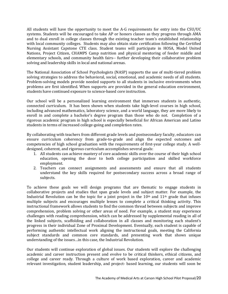All students will have the opportunity to meet the A-G requirements for entry into the CSU/UC systems. Students will be encouraged to take AP or honors classes as they progress through AMA and to dual enroll in college classes through the existing teacher team's established relationship with local community colleges. Students may also obtain state certification following the Certified Nursing Assistant Capstone CTE class. Student teams will participate in HOSA, Model United Nations, Project Citizen, CHAMPS Camp nutrition and physical mentoring of feeder middle and elementary schools, and community health fairs-- further developing their collaborative problem solving and leadership skills in local and national arenas.

The National Association of School Psychologists (NASP) supports the use of multi-tiered problem solving strategies to address the behavioral, social, emotional, and academic needs of all students. Problem-solving models provide needed supports to all students in inclusive environments when problems are first identified. When supports are provided in the general education environment, students have continued exposure to science-based core instruction.

Our school will be a personalized learning environment that immerses students in authentic, connected curriculum. It has been shown when students take high-level courses in high school, including advanced mathematics, laboratory science, and a world language, they are more likely to enroll in and complete a bachelor's degree program than those who do not. Completion of a rigorous academic program in high school is especially beneficial for African American and Latino students in terms of increased college-going and completion rates.

By collaborating with teachers from different grade levels and postsecondary faculty, educators can ensure curriculum coherency from grade-to-grade and align the expected outcomes and competencies of high school graduation with the requirements of first-year college study. A welldesigned, coherent, and rigorous curriculum accomplishes several goals:

- 1. All students can achieve mastery of core academic skills over the course of their high school education, opening the door to both college participation and skilled workforce employment.
- 2. Teachers can connect assignments and assessments and ensure that all students understand the key skills required for postsecondary success across a broad range of subjects.

To achieve these goals we will design programs that are thematic to engage students in collaborative projects and studies that span grade levels and subject matter. For example, the Industrial Revolution can be the topic for a joint project in the  $10<sup>th</sup>$  and  $11<sup>th</sup>$  grade that infuses multiple subjects and encourages multiple lenses to complete a critical thinking activity. This instructional framework allows students to find the common thread between subjects and improve comprehension, problem solving or other areas of need. For example, a student may experience challenges with reading comprehension, which can be addressed by supplemental reading in all of the linked subjects, scaffolding and collaboration in all classes and monitoring each student's progress in their individual Zone of Proximal Development. Eventually, each student is capable of performing authentic intellectual work aligning the instructional goals, meeting the California subject standards and common core standards, and presenting work that shows unique understanding of the issues…in this case, the Industrial Revolution.

Our students will continue exploration of global issues. Our students will explore the challenging academic and career instruction present and evolve to be critical thinkers, ethical citizens, and college and career ready. Through a culture of work based exploration, career and academic relevant investigation, student leadership, and project- based learning, our students will soon be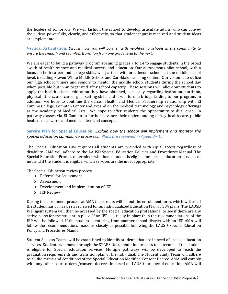the leaders of tomorrow. We will fashion the school to develop articulate adults who can convey their ideas powerfully, clearly, and effectively, so that student input is received and student ideas are implemented.

**Vertical Articulation.** *Discuss how you will partner with neighboring schools in the community to ensure the smooth and seamless transition from one grade level to the next.* 

We are eager to build a pathway program spanning grades 7 to 14 to engage students in the broad swath of health science and medical careers and education. Our autonomous pilot school, with a focus on both career and college skills, will partner with area feeder schools at the middle school level, including Steven White Middle School and Caroldale Learning Center. Our vision is to utilize our high school juniors and seniors to mentor the middle school students during the school day when possible but in an organized after school capacity. These sessions will allow our students to apply the health science education they have obtained, especially regarding hydration, nutrition, physical fitness, and career goal setting skills and it will form a bridge leading to our program. In addition, we hope to continue the Carson Health and Medical Partnership relationship with El Camino College, Compton Center and expand on the medical terminology and psychology offerings as the Academy of Medical Arts. We hope to offer students the opportunity to dual enroll in pathway classes via El Camino to further advance their understanding of key health care, public health, social work, and medical ideas and concepts.

# **Service Plan for Special Education.** *Explain how the school will implement and monitor the special education compliance processes. Plans are reviewed in Appendix E.*

The Special Education Law requires all students are provided with equal access regardless of disability. AMA will adhere to the LAUSD Special Education Policies and Procedures Manual. The Special Education Process determines whether a student is eligible for special education services or not, and if the student is eligible, which services are the most appropriate.

The Special Education review process:

- o Referral for Assessment
- o Assessment
- o Development and Implementation of IEP
- o IEP Review

During the enrollment process at AMA the parents will fill out the enrollment form, which will ask if the student has or has been reviewed for an Individualized Education Plan or 504 plans. The LAUSD Welligent system will then be accessed by the special education professional to see if there are any active plans for the student in place. If an IEP is already in place then the recommendations of the IEP will be followed. If the student is entering from another school district with an IEP AMA will follow the recommendations made as closely as possible following the LAUSD Special Education Policy and Procedures Manual.

Student Success Teams will be established to identify students that are in need of special education services. Students will move through the STARS Documentation process to determine if the student is eligible for Special education services. Multiple pathways will be developed to reach the graduation requirements and transition plan of the individual. The Student Study Team will adhere to all the terms and conditions of the Special Education Modified Consent Decree. AMA will comply with any other court orders /consent decrees imposed on LAUSD for special education. AMA will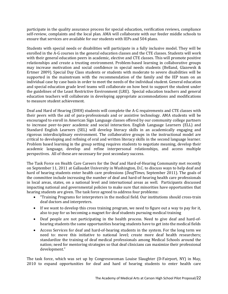participate in the quality assurance process for special education, verification reviews, compliance self-review, complaints and the local plan. AMA will collaborate with our feeder middle schools to ensure that services are available for our students with IEPs and 504 plans.

Students with special needs or disabilities will participate in a fully inclusive model. They will be enrolled in the A-G courses in the general education classes and the CTE classes. Students will work with their general education peers in academic, elective and CTE classes. This will promote positive relationships and create a trusting environment. Problem-based learning in collaborative groups may increase motivation and social confidence in special needs students (Belland, Glazewsk & Ertmer 2009). Special Day Class students or students with moderate to severe disabilities will be supported in the mainstream with the recommendation of the family and the IEP team on an individual case by case basis in order to meet the needs of the individual student. General education and special education grade level teams will collaborate on how best to support the student under the guidelines of the Least Restrictive Environment (LRE). Special education teachers and general education teachers will collaborate in developing appropriate accommodations and modifications to measure student achievement.

Deaf and Hard of Hearing (DHH) students will complete the A-G requirements and CTE classes with their peers with the aid of para-professionals and or assistive technology. AMA students will be encouraged to enroll in American Sign Language classes offered by our community college partners to increase peer-to-peer academic and social interaction. English Language Learners (ELL) and Standard English Learners (SEL) will develop literacy skills in an academically engaging and rigorous interdisciplinary environment. The collaborative groups in the instructional model are critical to developing and refining of oral and written literacy skills in the second language learner. Problem based learning in the group setting requires students to negotiate meaning, develop their academic language, develop and refine interpersonal relationships, and access multiple perspectives. All of these are necessary for post secondary success.

The Task Force on Health Care Careers for the Deaf and Hard-of-Hearing Community met recently on September 11, 2011 at Gallaudet University in Washington, D.C. to discuss ways to help deaf and hard of hearing students enter health care professions (*DeafTimes,* September 2011). The goals of the committee include increasing the number of deaf and hard-of-hearing health care professionals in local areas, states, on a national level and international areas as well. Participants discussed impacting national and governmental policies to make sure that minorities have opportunities that hearing students are given. The task force agreed to address four problems:

- "Training Programs for interpreters in the medical field. Our institutions should cross-train deaf doctors and interpreters.
- If we want to develop this cross training program, we need to figure out a way to pay for it, also to pay for us becoming a magnet for deaf students pursuing medical training
- Deaf people are not participating in the health process. Need to give deaf and hard-ofhearing students the same opportunities hearing students have to get into the medical fields
- Access Services for deaf and hard-of-hearing students in the system. For the long term we need to: move this initiative to national level; create more deaf health researchers; standardize the training of deaf medical professionals among Medical Schools around the nation; need for mentoring strategies so that deaf clinicians can maximize their professional development."

The task force, which was set up by Congresswoman Louise Slaughter (D-Fairport, NY) in May, 2010 to expand opportunities for deaf and hard of hearing students to enter health care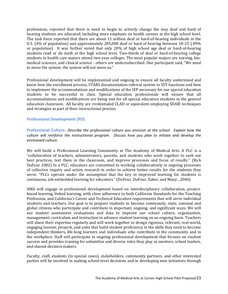professions, reported that there is need to begin to actively change the way deaf and hard of hearing students are educated, including more emphasis on health careers at the high school level. The task force reported that there are about 11 million deaf or hard-of-hearing individuals in the U.S. (4% of population) and approximately 285,000 deaf or hard of hearing between 18-25 (.09% or population). It was further noted that only 20% of high school age deaf or hard-of-hearing students read or do math at the high school level. Two-thirds of deaf or hard-of-hearing college students in health care majors attend two-year colleges. The most popular majors are nursing, biomedical sciences, and clinical science - others are undersubscribed. One participant said, "We need to move the system; the system will not move us."

Professional development will be implemented and ongoing to ensure all faculty understand and know how the enrollment process, STARS documentation referral system to SST functions and how to implement the accommodations and modifications of the IEP necessary for our special education students to be successful in class. Special education professionals will ensure that all accommodations and modifications are being met for all special education students in the general education classroom. All faculty are credentialed CLAD or equivalent employing SDAIE techniques and strategies as part of their instructional process.

# **Professional Development (PD)**

**Professional Culture.** *Describe the professional culture you envision at the school. Explain how the culture will reinforce the instructional program. Discuss how you plan to initiate and develop the envisioned culture.*

We will build a Professional Learning Community at The Academy of Medical Arts. A PLC is a "collaboration of teachers, administrators, parents, and students who work together to seek out best practices, test them in the classroom, and improve processes and focus of results." (Rick DuFour 2002) In a PLC, educators are committed to working collaboratively in ongoing processes of collective inquiry and action research in order to achieve better results for the students they serve. "PLCs operate under the assumption that the key to improved learning for students is continuous, job-embedded learning for educators." (DuFour, DuFour, Eaker, and Many…2006)

AMA will engage in professional development based on interdisciplinary collaboration, projectbased learning, linked learning, with close adherence to both California Standards for the Teaching Profession, and California's Career and Technical Education requirements that will serve individual students and teachers. Our goal is to prepare students to become community, state, national and global citizens who participate and contribute in important, ongoing, and significant ways. We will use student assessment evaluations and data to improve our school culture, organization, management, curriculum and instruction to advance student learning on an ongoing basis. Teachers will share their expertise regularly and will work together to design rigorous, relevant, real-world, engaging lessons, projects, and units that build student proficiency in the skills they need to become independent thinkers, life-long learners and individuals who contribute in the community and in the workplace. Staff will participate in ongoing professional development that focuses on student success and provides training for unfamiliar and diverse roles they play as mentors, school leaders, and shared-decision makers.

Faculty, staff, students (in special cases), stakeholders, community partners, and other interested parties will be involved in making school-level decisions and in developing new initiatives through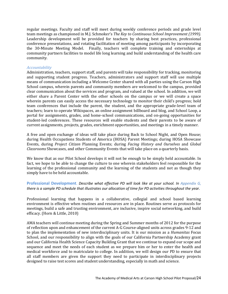regular meetings. Faculty and staff will meet during weekly conference periods and grade level team meetings as championed in M.J. Schmoker's *The Key to Continuous School Improvement (1999)*. Leadership development will be provided for teachers by sharing best practices, professional conference presentations, and rotating facilitation of meeting among participants by incorporating the 30-Minute Meeting Model. Finally, teachers will complete training and externships at community partners facilities to model life long learning and build understanding of the health care community.

# *Accountability*

Administration, teachers, support staff, and parents will take responsibility for tracking, monitoring and supporting student progress. Teachers, administrators and support staff will use multiple means of communication including a Welcome Center shared with all parties using the Carson High School campus, wherein parents and community members are welcomed to the campus, provided clear communication about the services and program, and valued at the school. In addition, we will either share a Parent Center with the other schools on the campus or we will create a space wherein parents can easily access the necessary technology to monitor their child's progress; hold team conferences that include the parent, the student, and the appropriate grade-level team of teachers; learn to operate Wikispaces, an online assignment billboard and blog, and School Loop, a portal for assignments, grades, and home-school communications, and on-going opportunities for student-led conferences. These resources will enable students and their parents to be aware of current assignments, projects, grades, enrichment opportunities, and meetings in a timely manner.

A free and open exchange of ideas will take place during Back to School Night, and Open House; during Health Occupations Students of America (HOSA) Parent Meetings; during HOSA Showcase Events, during *Project Citizen* Planning Events; during *Facing History and Ourselves* and *Global Classrooms* Showcases, and other Community Events that will take place on a quarterly basis.

We know that as our Pilot School develops it will not be enough to be simply held accountable. In fact, we hope to be able to change the culture to one wherein stakeholders feel responsible for the learning of the professional community and the learning of the students and not as though they simply have to be held accountable.

# **Professional Development**. *Describe what effective PD will look like at your school. In Appendix G, there is a sample PD schedule that illustrates our allocation of time for PD activities throughout the year.*

Professional learning that happens in a collaborative, collegial and school based learning environment is effective when routines and resources are in place. Routines serve as protocols for meetings, build a safe and trusting environment, are inclusive, inspire social networking, and build efficacy. (Horn & Little, 2010)

AMA teachers will continue meeting during the Spring and Summer months of 2012 for the purpose of reflection upon and enhancement of the current A-G Course-aligned units across grades 9-12 and to plan the implementation of new interdisciplinary units. It is our mission as a *Humanitas* Focus School, and our responsibility to align with the goals of our California Partnership Academy grant and our California Health Science Capacity Building Grant that we continue to expand our scope and sequence and meet the needs of each student as we prepare him or her to enter the health and medical workforce and to matriculate to college. In addition, we will design our PD to ensure that all staff members are given the support they need to participate in interdisciplinary projects designed to raise test scores and student understanding, especially in math and science.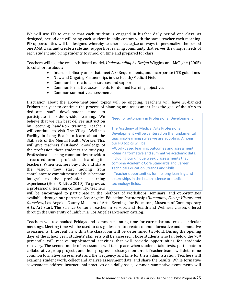We will use PD to ensure that each student is engaged in his/her daily period one class. As designed, period one will bring each student in daily contact with the same teacher each morning. PD opportunities will be designed whereby teachers strategize on ways to personalize the period one AMA class and create a safe and supportive learning community that serves the unique needs of each student and bring students to school on time and prepared for class.

Teachers will use the research-based model, *Understanding by Design* Wiggins and McTighe (2005) to collaborate about:

- Interdisciplinary units that meet A-G Requirements, and incorporate CTE guidelines
- New and Ongoing Partnerships in the Health/Medical Field<br>• Common instructional resources and sunnort
- Common instructional resources and support
- Common formative assessments for defined learning objectives<br>• Common summative assessments
- Common summative assessments

Discussion about the above-mentioned topics will be ongoing. Teachers will have 20-banked Fridays per year to continue the process of planning and assessment. It is the goal of the AMA to dedicate staff development time to

development time participate in side-by-side learning. We believe that we can best deliver instruction by receiving hands-on training. Teachers will continue to visit The Village Wellness Facility in Long Beach to learn about the Skill Sets of the Mental Health Worker. This will give teachers first-hand knowledge of the profession their students are studying. Professional learning communities provide a structured form of professional learning for teachers. When teachers buy into and share the vision, they start moving from compliance to commitment and thus become integral to the professional learning experience (Horn & Little 2010). To grow as a professional learning community, teachers

Need for autonomy in Professional Development The Academy of Medical Arts Professional Development will be centered on the fundamental teaching/learning styles we are adopting. Among our PD topics will be: --Work-based learning outcomes and assessment; --Sharing formative and summative academic data, including our unique weekly assessments that combine Academic Core Standards and Career Technical Education Strands and Skills; --Teacher opportunities for life long learning and externships in the health science or medical technology fields.

will be encouraged to participate in the plethora of workshops, seminars, and opportunities available through our partners: Los Angeles Education Partnership/*Humanitas*, *Facing History and Ourselves*, Los Angeles County Museum of Art's Evenings for Educators, Museum of Contemporary Art's Art Start, The Science Center's Teacher In Service, and Health and Wellness classes offered through the University of California, Los Angeles Extension catalog.

Teachers will use banked Fridays and common planning time for curricular and cross-curricular meetings. Meeting time will be used to design lessons to create common formative and summative assessments. Intervention within the classroom will be determined two-fold. During the opening days of the school year, students' skill sets will be assessed. Those students who fall below the 70<sup>th</sup> percentile will receive supplemental activities that will provide opportunities for academic recovery. The second mode of assessment will take place when students take tests, participate in collaborative group projects, and their progress is closely monitored. Teacher teams will determine common formative assessments and the frequency and time for their administration. Teachers will examine student work, collect and analyze assessment data, and share the results. While formative assessments address instructional practices on a daily basis, common summative assessments will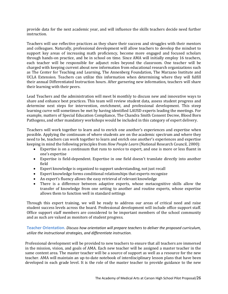provide data for the next academic year, and will influence the skills teachers decide need further instruction.

Teachers will use reflective practices as they share their success and struggles with their mentors and colleagues. Naturally, professional development will allow teachers to develop the mindset to support key areas of increasing math proficiency, become more engaged and focused scholars through hands-on practice, and be in school on time. Since AMA will initially employ 16 teachers, each teacher will be responsible for adjunct roles beyond the classroom. One teacher will be charged with keeping current about new information from educational research organizations such as The Center for Teaching and Learning, The Annenberg Foundation, The Marzano Institute and UCLA Extension. Teachers can utilize this information when determining where they will fulfill their annual Differentiated Instruction hours. After garnering new information, teachers will share their learning with their peers.

Lead Teachers and the administration will meet bi monthly to discuss new and innovative ways to share and enhance best practices. This team will review student data, assess student progress and determine next steps for intervention, enrichment, and professional development. This steep learning curve will sometimes be met by having identified LAUSD experts leading the meetings. For example, matters of Special Education Compliance, The Chandra Smith Consent Decree, Blood Born Pathogens, and other mandatory workshops would be included in this category of expert delivery.

Teachers will work together to learn and to enrich one another's experiences and expertise when possible. Applying the continuum of where students are on the academic spectrum and where they need to be, teachers can work together to learn and enrich one another's experiences and expertise keeping in mind the following principles from *How People Learn* (National Research Council, 2000):

- Expertise is on a continuum that runs to novice to expert, and one is more or less fluent in one's expertise
- Expertise is field-dependent. Expertise in one field doesn't translate directly into another field
- Expert knowledge is organized to support understanding, not just recall
- Expert knowledge forms conditional relationships that experts recognize
- An expert's fluency allows the easy retrieval of relevant knowledge
- There is a difference between adaptive experts, whose metacognitive skills allow the transfer of knowledge from one setting to another and routine experts, whose expertise allows them to function well in standard settings

Through this expert training, we will be ready to address our areas of critical need and raise student success levels across the board. Professional development will include office support staff. Office support staff members are considered to be important members of the school community and as such are valued as monitors of student progress.

**Teacher Orientation.** *Discuss how orientation will prepare teachers to deliver the proposed curriculum, utilize the instructional strategies, and differentiate instruction.*

Professional development will be provided to new teachers to ensure that all teachers are immersed in the mission, vision, and goals of AMA. Each new teacher will be assigned a master teacher in the same content area. The master teacher will be a source of support as well as a resource for the new teacher. AMA will maintain an up-to-date notebook of interdisciplinary lesson plans that have been developed in each grade level. It is the role of the master teacher to provide guidance to the new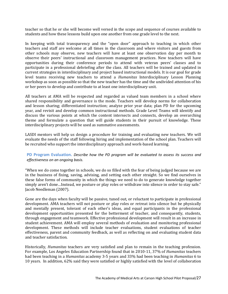teacher so that he or she will become well versed in the scope and sequence of courses available to students and how these lessons build upon one another from one grade level to the next.

In keeping with total transparency and the "open door" approach to teaching in which other teachers and staff are welcome at all times in the classroom and where visitors and guests from other schools may observe, new teachers will have at least one observation day per month to observe their peers' instructional and classroom management practices. New teachers will have opportunities during their conference periods to attend with veteran peers' classes and to participate in a professional debriefing after the class. All teachers will be trained and updated in current strategies in interdisciplinary and project based instructional models. It is our goal for grade level teams receiving new teachers to attend a *Humanitas* Interdisciplinary Lesson Planning workshop as soon as possible so that the new teacher has the time and the undivided attention of his or her peers to develop and contribute to at least one interdisciplinary unit.

All teachers at AMA will be respected and regarded as valued team members in a school where shared responsibility and governance is the mode. Teachers will develop norms for collaboration and lesson sharing; differentiated instruction; analyze prior year data; plan PD for the upcoming year, and revisit and develop common instructional methods. Grade Level Teams will identify and discuss the various points at which the content intersects and connects, develop an overarching theme and formulate a question that will guide students in their pursuit of knowledge. These interdisciplinary projects will be used as summative assessments.

LASDI mentors will help us design a procedure for training and evaluating new teachers. We will evaluate the needs of the staff following hiring and implementation of the school plan. Teachers will be recruited who support the interdisciplinary approach and work-based learning.

# **PD Program Evaluation.** *Describe how the PD program will be evaluated to assess its success and effectiveness on an ongoing basis.*

"When we do come together in schools, we do so filled with the fear of being judged because we are in the business of fixing, saving, advising, and setting each other straight. So we find ourselves in these false forms of community in which the things we need to do to generate knowledge together simply aren't done…Instead, we posture or play roles or withdraw into silence in order to stay safe." Jacob Needleman (2007).

Gone are the days when faculty will be passive, tuned out, or reluctant to participate in professional development. AMA teachers will not posture or play roles or retreat into silence but be physically and mentally present, tolerant of each other's ideas, and equal participants in the professional development opportunities presented for the betterment of teacher, and consequently, students, through engagement and teamwork. Effective professional development will result in an increase in student achievement. AMA will employ several methods of evaluation and monitoring professional development. These methods will include teacher evaluations, student evaluations of teacher effectiveness, parent and community feedback, as well as reflecting on and evaluating student data and teacher satisfaction.

Historically, *Humanitas* teachers are very satisfied and plan to remain in the teaching profession. For example, Los Angeles Education Partnership found that in 2010-11, 37% of *Humanitas* teachers had been teaching in a *Humanitas* academy 3-5 years and 33% had been teaching in *Humanitas* 6 to 10 years. In addition, 62% said they were satisfied or highly satisfied with the level of collaboration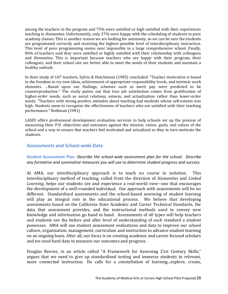among the teachers in the program and 75% were satisfied or high satisfied with their experiences teaching in *Humanitas*. Unfortunately, only 27% were happy with the scheduling of students in pure academy classes. This is another reason we are looking for autonomy, so we can be sure the students are programmed correctly and receiving the highest possible level of interdisciplinary instruction. This level of pure programming seems near impossible in a large comprehensive school. Finally, 86% of teachers said they were satisfied or highly satisfied with their relationship with colleagues and *Humanitas*. This is important because teachers who are happy with their program, their colleagues, and their school site are better able to meet the needs of their students and maintain a healthy outlook.

In their study of 167 teachers, Sylvia & Hutchinson (1985) concluded: "Teacher motivation is based in the freedom to try new ideas, achievement of appropriate responsibility levels, and intrinsic work elements. …Based upon our findings, schemes such as merit pay were predicted to be counterproductive." The study points out that true job satisfaction comes from gratification of higher-order needs, such as social relations, esteem, and actualization rather than lower-order needs. "Teachers with strong positive attitudes about teaching had students whose self-esteem was high. Students seem to recognize the effectiveness of teachers who are satisfied with their teaching performance." Rothman (1981)

LASDI offers professional development evaluation services to help schools set up the process of measuring their P.D. objectives and outcomes against the mission, vision, goals, and values of the school and a way to ensure that teachers feel motivated and actualized so they in turn motivate the students.

# **Assessments and School-wide Data**

# **Student Assessment Plan.** *Describe the school-wide assessment plan for the school. Describe any formative and summative measures you will use to determine student progress and success.*

At AMA, our interdisciplinary approach is to teach no course in isolation. This interdisciplinary method of teaching, culled from the direction of *Humanitas* and *Linked Learning*, helps our students see and experience a real-world view--one that encourages the development of a well-rounded individual. Our approach with assessments will be no different. Standardized assessments and the school-based assessing of student learning will play an integral role in the educational process. We believe that developing assessments based on the California State Academic and Career Technical Standards, the data that assessment provides, and the instructional methods used to convey new knowledge and information go hand in hand. Assessments of all types will help teachers and students see the before and after level of understanding of each standard a student possesses. AMA will use student assessment evaluations and data to improve our school culture, organization, management, curriculum and instruction to advance student learning on an ongoing basis. After all, our focus is on creating academic and career focused scholars and we need hard data to measure our outcomes and progress.

Douglas Reeves, in an article called "A Framework for Assessing 21st Century Skills," argues that we need to give up standardized testing and immerse students in relevant, more connected instruction. He calls for a constellation of learning...explore, create,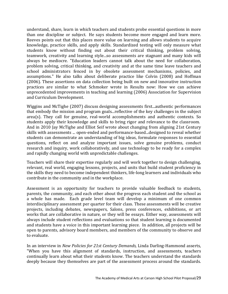understand, share, learn in which teachers and students probe essential questions in more than one discipline or subject. He says students become more engaged and learn more. Reeves points out that this places more value on learning and allows students to acquire knowledge, practice skills, and apply skills. Standardized testing will only measure what students know without finding out about their critical thinking, problem solving, teamwork, creativity and learning style...so assessments are stagnant and many kids will always be mediocre. "Education leaders cannot talk about the need for collaboration, problem solving, critical thinking, and creativity and at the same time leave teachers and school administrators fenced in by obsolete assessment mechanisms, policies, and assumptions." He also talks about deliberate practice like Colvin (2008) and Hoffman (2006). These assertions on data collection being built on new and innovative instruction practices are similar to what Schmoker wrote in Results now: How we can achieve unprecedented improvements in teaching and learning (2006) Association for Supervision and Curriculum Development.

Wiggins and McTighe (2007) discuss designing assessments first...authentic performances that embody the mission and program goals...reflective of the key challenges in the subject area(s). They call for genuine, real-world accomplishments and authentic contexts. So students apply their knowledge and skills to bring rigor and relevance to the classroom. And in 2010 Jay McTighe and Elliot Seif wrote about changing from aligning 21st Century skills with assessments ... open-ended and performance-based...designed to reveal whether students can demonstrate an understanding of big ideas, formulate responses to essential questions, reflect on and analyze important issues, solve genuine problems, conduct research and inquiry, work collaboratively, and use technology to be ready for a complex and rapidly changing world with unpredictable challenges.

Teachers will share their expertise regularly and will work together to design challenging, relevant, real world, engaging lessons, projects, and units that build student proficiency in the skills they need to become independent thinkers, life-long learners and individuals who contribute in the community and in the workplace.

Assessment is an opportunity for teachers to provide valuable feedback to students, parents, the community, and each other about the progress each student and the school as a whole has made. Each grade level team will develop a minimum of one common interdisciplinary assessment per quarter for their class. These assessments will be creative projects, including debates, newspapers, Salons, press conferences, exhibitions, or art works that are collaborative in nature, or they will be essays. Either way, assessments will always include student reflections and evaluations so that student learning is documented and students have a voice in this important learning piece. In addition, all projects will be open to parents, advisory board members, and members of the community to observe and to evaluate.

In an interview in *New Policies for 21st Century Demands,* Linda Darling-Hammond asserts, "When you have this alignment of standards, instruction, and assessments, teachers continually learn about what their students know. The teachers understand the standards deeply because they themselves are part of the assessment process around the standards.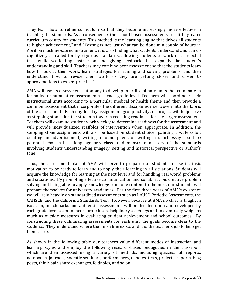They learn how to refine curriculum so that they become increasingly more effective in teaching the standards. As a consequence, the school-based assessments result in greater curriculum equity for students. This method is the learning engine that drives all students to higher achievement," and "Testing is not just what can be done in a couple of hours in April on machine-scored instrument; it is also finding what students understand and can do cognitively as called for by rigorous standards...allowing students to work on a selected task while scaffolding instruction and giving feedback that expands the student's understanding and skill. Teachers may combine peer assessment so that the students learn how to look at their work, learn strategies for framing and solving problems, and then understand how to revise their work so they are getting closer and closer to approximations to expert practice."

AMA will use its assessment autonomy to develop interdisciplinary units that culminate in formative or summative assessments at each grade level. Teachers will coordinate their instructional units according to a particular medical or health theme and then provide a common assessment that incorporates the different disciplines interwoven into the fabric of the assessment. Each day-to- day assignment, group activity, or project will help serve as stepping stones for the students towards reaching readiness for the larger assessment. Teachers will examine student work weekly to determine readiness for the assessment and will provide individualized scaffolds of intervention when appropriate. In addition, the stepping stone assignments will also be based on student choice…painting a watercolor, creating an advertisement, writing a found poem, or writing a short essay could be potential choices in a language arts class to demonstrate mastery of the standards involving students understanding imagery, setting and historical perspective or author's tone.

Thus, the assessment plan at AMA will serve to prepare our students to use intrinsic motivation to be ready to learn and to apply their learning in all situations. Students will acquire the knowledge for learning at the next level and for handling real world problems and situations. By promoting effective communication and collaboration, creative problem solving and being able to apply knowledge from one content to the next, our students will prepare themselves for university academics. For the first three years of AMA's existence we will rely heavily on standardized assessments such as LAUSD Periodic Assessments, the CAHSEE, and the California Standards Test. However, because at AMA no class is taught in isolation, benchmarks and authentic assessments will be decided upon and developed by each grade level team to incorporate interdisciplinary teachings and to eventually weigh as much as outside measures in evaluating student achievement and school outcomes. By constructing these culminating assessments for each unit, the goals become clear to the students. They understand where the finish line exists and it is the teacher's job to help get them there.

As shown in the following table our teachers value different modes of instruction and learning styles and employ the following research-based pedagogies in the classroom which are then assessed using a variety of methods, including quizzes, lab reports, notebooks, journals, Socratic seminars, performances, debates, tests, projects, reports, blog posts, think-pair-share exchanges, foldables, and so on.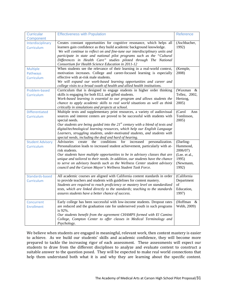| <b>Curricular</b>                            | <b>Effectiveness with Population</b>                                                                                                                                                                                                                                                                                                                                                                                                                                                            | Reference                                                                         |
|----------------------------------------------|-------------------------------------------------------------------------------------------------------------------------------------------------------------------------------------------------------------------------------------------------------------------------------------------------------------------------------------------------------------------------------------------------------------------------------------------------------------------------------------------------|-----------------------------------------------------------------------------------|
| Component<br>Interdisciplinary<br>Curriculum | Creates constant opportunities for cognitive resonance, which helps all<br>learners gain confidence as they build academic background knowledge.<br>We will continue to reflect on and fine-tune our interdisciplinary units and<br>participate in state and national pilot programs such as the "Cultural<br>Differences in Health Care" studies piloted through The National<br>Consortium for Health Science Education in 2011-12                                                            | (Aschbacher,<br>1992)                                                             |
| Multiple<br>Pathways<br>Curriculum           | When students see the relevance of their learning in a real-world context,<br>motivation increases. College and career-focused learning is especially<br>effective with at-risk male students.<br>We will expand our work-based learning opportunities and career and<br>college visits to a broad swath of health and allied health institutions.                                                                                                                                              | (Kemple,<br>2008)                                                                 |
| Problem-based<br>Curriculum                  | Curriculum that is designed to engage students in higher order thinking<br>skills is engaging for both ELL and gifted students.<br>Work-based learning is essential to our program and allows students the<br>chance to apply academic skills to real world situations as well as think<br>critically in simulations and projects at school.                                                                                                                                                    | (Waxman<br>- &<br>Tellez, 2002,<br>Hertzog,<br>2005)                              |
| <b>Differentiated</b><br>Curriculum          | Multiple texts and supplementary print resources, a variety of audiovisual<br>sources and interest centers are proved to be successful with students with<br>special needs.<br>Our students are being guided into the $21^{st}$ century with a blend of texts and<br>digital/technological learning resources, which help our English Language<br>Learners, struggling students, under-motivated students, and students with<br>special needs, including the deaf and hard of hearing.          | (Carol<br>Ann<br>Tomlinson,<br>2005)                                              |
| <b>Student Advisory</b><br>Curriculum        | the<br>conditions<br>for<br>personalization.<br>Advisories<br>increased<br>create<br>Personalization leads to increased student achievement, particularly with at-<br>risk students.<br>Our students have multiple opportunities to be in advisory classes that are<br>unique and tailored to their needs. In addition, our students have the chance<br>to serve on advisory boards such as the Wellness Center student advisory<br>council and the Carson Mayor's Wellness Student Task Force. | (Darling-<br>Hammond,<br>2006/07)<br>(Lee. et al.,<br>1995)<br>(Newmann,<br>1992) |
| Standards-based<br>Curriculum                | All academic courses are aligned with California content standards in order<br>to provide teachers and students with guidelines for content mastery.<br>Students are required to reach proficiency or mastery level on standardized<br>tests, which are linked directly to the standards; teaching to the standards<br>assures students have a better chance of success.                                                                                                                        | (California<br>Department<br>$\sigma$ f<br>Education,<br>1997)                    |
| Concurrent<br><b>Enrollment</b>              | Early college has been successful with low-income students. Dropout rates<br>are reduced and the graduation rate for underserved youth in such programs<br>is 92%.<br>Our students benefit from the agreement CHAMPS formed with El Camino<br>College, Compton Center to offer classes in Medical Terminology and<br>Psychology.                                                                                                                                                                | (Hoffman<br>&<br>Webb, 2009)                                                      |

We believe when students are engaged in meaningful, relevant work, then content mastery is easier to achieve. As we build our students' skills and academic confidence, they will become more prepared to tackle the increasing rigor of each assessment. These assessments will expect our students to draw from the different disciplines to analyze and evaluate content to construct a suitable answer to the question posed. They will be expected to make real world connections that help them understand both what it is and why they are learning about the specific content.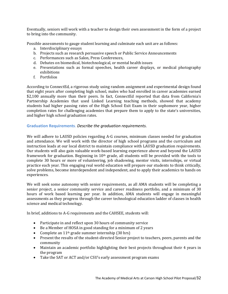Eventually, seniors will work with a teacher to design their own assessment in the form of a project to bring into the community.

Possible assessments to gauge student learning and culminate each unit are as follows:

- a. Interdisciplinary essays
- b. Projects such as research persuasive speech or Public Service Announcements
- c. Performances such as Salon, Press Conferences,
- d. Debates on biomedical, biotechnological, or mental health issues
- e. Presentations such as formal speeches, health career displays, or medical photography exhibitions
- f. Portfolios

According to ConnectEd, a rigorous study using random assignment and experimental design found that eight years after completing high school, males who had enrolled in career academies earned \$2,100 annually more than their peers. In fact, ConnectEd reported that data from California's Partnership Academies that used Linked Learning teaching methods, showed that academy students had higher passing rates of the High School Exit Exam in their sophomore year, higher completion rates for challenging academies that prepare them to apply to the state's universities, and higher high school graduation rates.

# **Graduation Requirements**. *Describe the graduation requirements.*

We will adhere to LAUSD policies regarding A-G courses, minimum classes needed for graduation and attendance. We will work with the director of high school programs and the curriculum and instruction leads at our local district to maintain compliance with LAUSD graduation requirements. Our students will also gain valuable work-based learning experience above and beyond the LAUSD framework for graduation. Beginning in 10<sup>th</sup> grade, all students will be provided with the tools to complete 30 hours or more of volunteering, job shadowing, mentor visits, internships, or virtual practice each year. This engaging real world education will prepare our students to think critically, solve problems, become interdependent and independent, and to apply their academics to hands on experiences.

We will seek some autonomy with senior requirements, as all AMA students will be completing a senior project, a senior community service and career readiness portfolio, and a minimum of 30 hours of work based learning per year. In addition, AMA students will engage in meaningful assessments as they progress through the career technological education ladder of classes in health science and medical technology.

In brief, additions to A-G requirements and the CAHSEE, students will:

- Participate in and reflect upon 30 hours of community service
- Be a Member of HOSA in good standing for a minimum of 2 years
- Complete an  $11<sup>th</sup>$  grade summer internship (30 hrs)
- Present the results of the student-directed Senior project to teachers, peers, parents and the community
- Maintain an academic portfolio highlighting their best projects throughout their 4 years in the program
- Take the SAT or ACT and/or CSU's early assessment program exams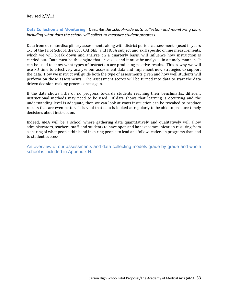**Data Collection and Monitoring**: *Describe the school-wide data collection and monitoring plan, including what data the school will collect to measure student progress.* 

Data from our interdisciplinary assessments along with district periodic assessments (used in years 1-3 of the Pilot School, the CST, CAHSEE, and HOSA subject and skill specific online measurements, which we will break down and analyze on a quarterly basis, will influence how instruction is carried out. Data must be the engine that drives us and it must be analyzed in a timely manner. It can be used to show what types of instruction are producing positive results. This is why we will use PD time to effectively analyze our assessment data and implement new strategies to support the data. How we instruct will guide both the type of assessments given and how well students will perform on those assessments. The assessment scores will be turned into data to start the data driven decision-making process once again.

If the data shows little or no progress towards students reaching their benchmarks, different instructional methods may need to be used. If data shows that learning is occurring and the understanding level is adequate, then we can look at ways instruction can be tweaked to produce results that are even better. It is vital that data is looked at regularly to be able to produce timely decisions about instruction.

Indeed, AMA will be a school where gathering data quantitatively and qualitatively will allow administrators, teachers, staff, and students to have open and honest communication resulting from a sharing of what people think and inspiring people to lead and follow leaders in programs that lead to student success.

An overview of our assessments and data-collecting models grade-by-grade and whole school is included in Appendix H.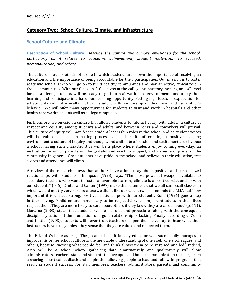# **Category Two: School Culture, Climate, and Infrastructure**

# **School Culture and Climate**

**Description of School Culture.** *Describe the culture and climate envisioned for the school, particularly as it relates to academic achievement, student motivation to succeed, personalization, and safety.* 

The culture of our pilot school is one in which students are shown the importance of receiving an education and the importance of being accountable for their participation. Our mission is to foster academic scholars who will go on to build healthy communities and play an active, ethical role in those communities. With our focus on A-G success at the college preparatory, honors, and AP level for all students, students will be ready to go into real workplace environments and apply their learning and participate in a hands-on learning opportunity. Setting high levels of expectation for all students will intrinsically motivate student self-monitorship of their own and each other's behavior. We will offer many opportunities for students to visit and work in hospitals and other health care workplaces as well as college campuses.

Furthermore, we envision a culture that allows students to interact easily with adults; a culture of respect and equality among students and adults, and between peers and coworkers will prevail. This culture of equity will manifest in student leadership roles in the school and as student voices will be valued in decision-making processes. The benefits of creating a positive learning environment, a culture of inquiry and thought, and a climate of passion and excitement are obvious; a school having such characteristics will be a place where students enjoy coming everyday, an institution for which parents will be grateful and work to support, and a source of pride for the community in general. Once students have pride in the school and believe in their education, test scores and attendance will climb.

A review of the research shows that authors have a lot to say about positive and personalized relationships with students. Thompson (1998) says, "The most powerful weapon available to secondary teachers who want to foster a favorable learning climate is a positive relationship with our students" (p. 6). Canter and Canter (1997) make the statement that we all can recall classes in which we did not try very hard because we didn't like our teachers. This reminds the AMA staff how important it is to have strong, positive relationships with our students. Kohn (1996) goes a step further, saying, "Children are more likely to be respectful when important adults in their lives respect them. They are more likely to care about others if they know they are cared about" (p. 111). Marzano (2003) states that students will resist rules and procedures along with the consequent disciplinary actions if the foundation of a good relationship is lacking. Finally, according to Zehm and Kottler (1993), students will never trust teachers or open themselves up to hear what their instructors have to say unless they sense that they are valued and respected them.

The E-Lead Website asserts, "The greatest benefit for any educator who successfully manages to improve his or her school culture is the inevitable understanding of one's self, one's colleagues, and others, because knowing what people feel and think allows them to be inspired and led." Indeed, AMA will be a school where gathering data quantitatively and qualitatively will allow administrators, teachers, staff, and students to have open and honest communication resulting from a sharing of critical feedback and inspiration allowing people to lead and follow in programs that result in student success. For staff members, teachers, administrators, parents, and community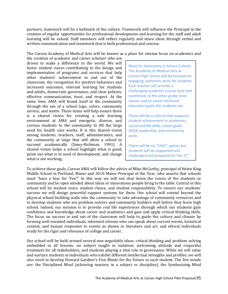partners, teamwork will be a hallmark of the culture. Teamwork will influence the Principal in the creation of regular opportunities for professional development and learning for the staff and adult learning will be valued. Staff members will reflect regularly and share ideas through verbal and written communication and teamwork that is both professional and concise.

The Carson Academy of Medical Arts will be known as a place for intense focus on academics and

the creation of academic and career scholars who are driven to make a difference in the world. We will foster student voices contributing to the design and implementation of programs and services that help other students' achievement in and out of the classroom, the recognition for positive behaviors and increased outcomes, relevant learning for students and adults, democratic governance, and clear policies, effective communication, trust, and respect. At the same time, AMA will brand itself in the community through the use of a school logo, colors, community service, and motto. These items will help ensure there is a shared vision for creating a safe learning environment at AMA and energetic, diverse, and curious students to the community to fill the large need for health care works. It is this shared vision among students, teachers, staff, administrators, and the community at large that will allow a school to succeed academically (Smey-Richman, 1991). A shared vision helps a school highlight what is good, point out what is in need of development, and change what is not working.

Need for Autonomy in School Culture The Academy of Medical Arts at Carson High School will be focused on engaging, authentic work for students. Each teacher will provide a challenging academic course load tied seamlessly to the other grade level classes and to career technical education goals the students set.

There will be a culture that supports student achievement in academics, social and life skills, career goals, HOSA leadership, and community work.

There will be no "EASY" option but students will be supported and challenged and prepared for the  $21<sup>st</sup>$ 

To achieve these goals, Carson AMA will follow the advice of Mike McCarthy, principal of Helen King Middle School in Portland, Maine and 2010 Maine Principal of the Year, who asserts that schools must "have a bias for 'Yes!'" In this way we will not shut down the voices of the students or community and be open minded about ideas or innovations people bring to the table. Central in this school will be student voice, student choice, and student responsibility. To ensure our students' success we will design powerful support systems for them. Our school will extend beyond the physical school-building walls into the community to take advantage of community resources and to develop students who are problem-solvers and community builders well before they leave high school. Indeed, our mission is to provide real life experiences through which our students gain confidence and knowledge about career and academics and gain and apply critical thinking skills. The focus on success in and out of the classroom will help to guide the culture and climate by forming well-rounded individuals, informed citizens who can speak about current events, historical context, and human responses to events as shown in literature and art, and ethical individuals ready for the rigor and relevance of college and career.

Our school will be built around several non-negotiable ideas: critical thinking and problem solving embedded in all lessons; no subject taught in isolation; welcoming attitude and respectful treatment for all stakeholders, and students playing a vital role in governance. While we will value and nurture students as individuals who exhibit different intellectual strengths and profiles, we will also work to develop Howard Gardner's Five Minds for the Future in each student. The five minds are: the Disciplined Mind (achieving mastery in a subject or discipline), the Synthesizing Mind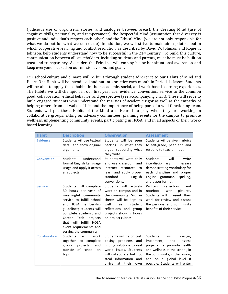(judicious use of organizers, stories, and analogies between areas), the Creating Mind (use of cognitive skills, personality, and temperament), the Respectful Mind (assumption that diversity is positive and individuals respect each other) and the Ethical Mind (we are not only responsible for what we do but for what we do not do). In addition, we will strive to maintain a pilot school in which cooperative learning and conflict resolution, as described by David W. Johnson and Roger T. Johnson, help students understand how to be successful in the 21<sup>st</sup> Century. To build this culture, communication between all stakeholders, including students and parents, must be must be built on trust and transparency. As leader, the Principal will employ his or her situational awareness and keep everyone focused on our mission, vision, and goals.

Our school culture and climate will be built through student adherence to our Habits of Mind and Heart. One Habit will be introduced and put into practice each month in Period 1 classes. Students will be able to apply these habits in their academic, social, and work-based learning experiences. The Habits we will champion in our first year are: evidence, convention, service to the common good, collaboration, ethical behavior, and perspective (see accompanying chart). These will serve to build engaged students who understand the realities of academic rigor as well as the empathy of helping others from all walks of life, and the importance of being part of a well-functioning team. Students will put these Habits of the Mind and Heart into play when they are working in collaborative groups, sitting on advisory committees, planning events for the campus to promote wellness, implementing community events, participating in HOSA, and in all aspects of their workbased learning.

| <b>Habit</b>      | <b>Description</b>                                                                                                                                                                                                                                                                        | <b>Observation</b>                                                                                                                                                                                        | <b>Assessment</b>                                                                                                                                                                                                          |
|-------------------|-------------------------------------------------------------------------------------------------------------------------------------------------------------------------------------------------------------------------------------------------------------------------------------------|-----------------------------------------------------------------------------------------------------------------------------------------------------------------------------------------------------------|----------------------------------------------------------------------------------------------------------------------------------------------------------------------------------------------------------------------------|
| <b>Evidence</b>   | Students will use textual<br>detail and show original<br>arguments                                                                                                                                                                                                                        | Students will be seen<br>backing up what they<br>argue, supporting what<br>they write.                                                                                                                    | Students will be given rubrics<br>to self-grade, peer edit and<br>respond to teacher input                                                                                                                                 |
| <b>Convention</b> | <b>Students</b><br>understand<br>formal English Language<br>usage and apply it across<br>all subjects                                                                                                                                                                                     | Students will write daily<br>and use classroom and<br>Internet resources to<br>learn and apply proper<br>standard<br>English<br>conventions.                                                              | Students<br>will<br>write<br>interdisciplinary<br>essays<br>demonstrating vocabulary for<br>each discipline and proper<br>English grammar,<br>spelling,<br>and paper format.                                               |
| <b>Service</b>    | Students will complete<br>30 hours per year of<br>meaningful community<br>service to fulfill school<br>and HOSA membership<br>guidelines; students will<br>complete academic and<br>Career Tech<br>projects<br>that will fulfill HOSA<br>event requirements and<br>serving the community. | Students will<br>actively<br>work on campus and in<br>the community. Sign in<br>sheets will be kept as<br>well<br>student<br>as<br>reflections and group<br>projects showing hours<br>on project rubrics. | Written<br>reflection<br>and<br>notebook<br>with<br>pictures.<br>Students will present their<br>work for review and discuss<br>the personal and community<br>benefits of their service.                                    |
| Collaboration     | <b>Students</b><br>will<br>work<br>together to complete<br>projects<br>group<br>and<br>outside<br>of school<br>on<br>trips.                                                                                                                                                               | Students will be on task<br>posing problems and<br>finding solutions to real<br>world issues. Students<br>will collaborate but not<br>steal information and<br>their<br>arrive<br>at<br>own               | Students<br>will<br>design,<br>implement,<br>and<br>assess<br>projects that promote health<br>and wellness at the school, in<br>the community, in the region,<br>and on a global level if<br>possible. Students will enter |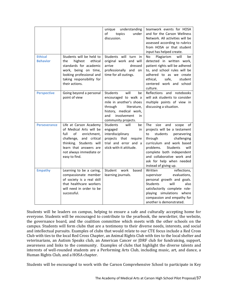|                                   |                                                                                                                                                                                                               | understanding<br>unique<br>of<br>topics<br>under<br>discussion.                                                                                                                         | teamwork events for HOSA<br>and for the Carson Wellness<br>Network. All activities will be<br>assessed according to rubrics<br>from HOSA or that student<br>input has helped create.                                                                                                                              |
|-----------------------------------|---------------------------------------------------------------------------------------------------------------------------------------------------------------------------------------------------------------|-----------------------------------------------------------------------------------------------------------------------------------------------------------------------------------------|-------------------------------------------------------------------------------------------------------------------------------------------------------------------------------------------------------------------------------------------------------------------------------------------------------------------|
| <b>Ethical</b><br><b>Behavior</b> | Students will be held to<br>highest<br>the<br>ethical<br>standards for academic<br>work, being on time,<br>looking professional and<br>taking responsibility for<br>their actions.                            | Students will turn in<br>original work and will<br>arrive<br>dressed<br>professionally and<br>on<br>time for all outings.                                                               | Plagiarism<br>will<br>be<br>No<br>detected in written work,<br>patient rights will be adhered<br>to, and school rules will be<br>adhered to as we create<br>student<br>ethical,<br>safe,<br>centered work and school<br>culture.                                                                                  |
| <b>Perspective</b>                | Going beyond a personal<br>point of view                                                                                                                                                                      | <b>Students</b><br>will<br>be<br>encouraged to walk a<br>mile in another's shoes<br>through<br>literature,<br>history, medical work,<br>involvement<br>and<br>in<br>community projects. | Reflections and notebooks<br>will ask students to consider<br>multiple points of view in<br>discussing a situation.                                                                                                                                                                                               |
| <b>Perseverance</b>               | Life at Carson Academy<br>of Medical Arts will be<br>full<br>of<br>enrichment,<br>challenge,<br>and critical<br>thinking. Students will<br>learn that answers are<br>not always immediate or<br>easy to find. | <b>Students</b><br>will<br>be<br>engaged<br>in<br>interdisciplinary<br>projects that require<br>trial and error and a<br>stick-with-it attitude.                                        | <b>The</b><br>size<br>and<br>scope<br>of<br>projects will be a testament<br>to<br>students<br>persevering<br>through<br>challenging<br>curriculum and work based<br>Students<br>problems.<br>will<br>complete both independent<br>and collaborative work and<br>ask for help when needed<br>instead of giving up. |
| <b>Empathy</b>                    | Learning to be a caring,<br>compassionate member<br>of society is a real skill<br>that healthcare workers<br>will need in order to be<br>successful.                                                          | work<br>Student<br>based<br>learning journals.                                                                                                                                          | Written<br>reflections,<br>evaluations,<br>supervisor<br>personal growth and goals.<br>will<br>also<br><b>Students</b><br>satisfactorily complete role-<br>playing simulations where<br>compassion and empathy for<br>another is demonstrated.                                                                    |

Students will be leaders on campus, helping to ensure a safe and culturally accepting home for everyone. Students will be encouraged to contribute to the yearbook, the newsletter, the website, the governance board, and the coalition committee which meets with the other schools on the campus. Students will form clubs that are a testimony to their diverse needs, interests, and social and intellectual pursuits. Examples of clubs that would relate to our CTE focus include a Red Cross Club with ties to the local Red Cross Chapter, an Animal Rights Club with ties to the local shelter and veterinarians, an Autism Speaks club, an American Cancer or JDRF club for fundraising, support, awareness and links to the community. Examples of clubs that highlight the diverse talents and interests of well-rounded students are a Performing Arts Club, including music, art, and dance, a Human Rights Club, and a HOSA chapter.

Students will be encouraged to work with the Carson Comprehensive School to participate in Key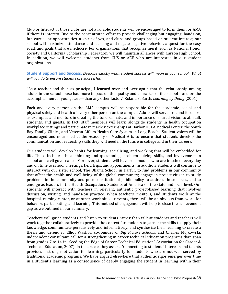Club or Interact. If those clubs are not available, students will be encouraged to form them for AMA if there is interest. Due to the concentrated effort to provide challenging but engaging, hands-on, fun curricular opportunities, a spirit of yes, and clubs and groups based on student interest, our school will maximize attendance and learning and negate negative behavior, a quest for the easy road, and goals that are mediocre. For organizations that recognize merit, such as National Honor Society and California Scholarship Federation, we will maintain alliances with Carson High School. In addition, we will welcome students from CHS or AEE who are interested in our student organizations.

# **Student Support and Success.** *Describe exactly what student success will mean at your school. What will you do to ensure students are successful?*

"As a teacher and then as principal, I learned over and over again that the relationship among adults in the schoolhouse had more impact on the quality and character of the school—and on the accomplishment of youngsters—than any other factor." Roland S. Barth, *Learning by Doing* (2001).

Each and every person on the AMA campus will be responsible for the academic, social, and physical safety and health of every other person on the campus. Adults will serve first and foremost as examples and mentors in creating the tone, climate, and importance of shared vision to all staff, students, and guests. In fact, staff members will learn alongside students in health occupation workplace settings and participate in teacher externships at Harbor UCLA Medical Center, the South Bay Family Clinics, and Veteran Affairs Health Care System in Long Beach. Student voices will be encouraged and nourished at the Academy of Medical Arts to ensure that students develop the communication and leadership skills they will need in the future in college and in their careers.

Our students will develop habits for learning, socializing, and working that will be embedded for life. These include critical thinking and questioning, problem solving skills, and involvement in school and civil governance. Moreover, students will have role models who are in school every day and on time to school, meetings, field trips, and appointments. In addition, students will continue to interact with our sister school, The Obama School, in Darfur, to find problems in our community that affect the health and well-being of the global community; engage in project citizen to study problems in the community and pose constitutional public policy to address those issues, and to emerge as leaders in the Health Occupations Students of America on the state and local level. Our students will interact with teachers in relevant, authentic project-based learning that involves discussion, writing, and hands-on practice. When teachers, mentors, and students work at the hospital, nursing center, or at other work sites or events, there will be an obvious framework for behavior, participating, and learning. This method of engagement will help to close the achievement gap as we outlined in our summary.

Teachers will guide students and listen to students rather than talk at students and teachers will work together collaboratively to provide the context for students to garner the skills to apply their knowledge, communicate persuasively and informatively, and synthesize their learning to create a thesis and defend it. Elliot Washor, co-founder of *Big Picture Schools*, and Charles Mojkowski, independent consultant, call for a strengthening in career technical education programs than span from grades 7 to 14 in "Seeding the Edge of Career Technical Education" (Association for Career & Technical Education, 2007). In the article, they assert, "Connecting to students' interests and talents provides a strong motivation for learning, particularly for students who are not well served by traditional academic programs. We have argued elsewhere that authentic rigor emerges over time in a student's learning as a consequence of deeply engaging the student in learning within their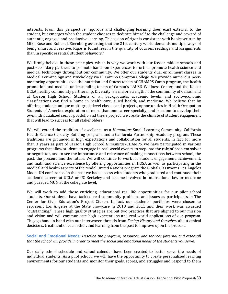interests. From this perspective, rigorous and challenging learning does exist external to the student, but emerges when the student chooses to dedicate himself to the challenge and reward of authentic, engaged and productive learning. This vision of rigor is consistent with books written by Mike Rose and Robert J. Sternberg asserting that the 21st century world demands multiple ways of being smart and creative. Rigor is found less in the quantity of courses, readings and assignments than in specific essential student behaviors."

We firmly believe in these principles, which is why we work with our feeder middle schools and post-secondary partners to promote hands-on experiences to further promote health science and medical technology throughout our community. We offer our students dual enrollment classes in Medical Terminology and Psychology via El Camino Compton College. We provide numerous peermentoring opportunities via the nutrition and fitness tenets of CHAMPS Camp program, the health promotion and medical understanding tenets of Carson's LAUSD Wellness Center, and the Kaiser UCLA healthy community partnership. Diversity is a major strength in the community of Carson and at Carson High School. Students of all backgrounds, academic levels, and socio-economic classifications can find a home in health care, allied health, and medicine. We believe that by offering students unique multi-grade level classes and projects, opportunities in Health Occupation Students of America, exploration of more than one career specialty, and freedom to develop their own individualized senior portfolio and thesis project, we create the climate of student engagement that will lead to success for all stakeholders.

We will extend the tradition of excellence as a *Humanitas* Small Learning Community, California Health Science Capacity Building program, and a California Partnership Academy program. These traditions are grounded in high expectations and collaboration for all students. In fact, for more than 3 years as part of Carson High School *Humanitas*/CHAMPS, we have participated in various programs that allow students to engage in real-world events, to step into the role of problem solver or negotiator, and to see the importance and relevance of making connections between school, the past, the present, and the future. We will continue to work for student engagement, achievement, and math and science excellence by offering opportunities in HOSA as well as participating in the medical and health aspects of the Model United Nations program the Global Classrooms Los Angeles Model UN conference. In the past we had success with students who graduated and continued their academic careers at UCLA or UC Berkeley and became involved in international law or medicine and pursued MUN at the collegiate level.

We will work to add those enriching, educational real life opportunities for our pilot school students. Our students have tackled real community problems and issues as participants in The Center for Civic Education's Project Citizen. In fact, our students' portfolios were chosen to represent Los Angeles at the State Showcase in 2010 and 2011 and their work was awarded "outstanding." These high quality strategies are but two practices that are aligned to our mission and vision and will communicate high expectations and real-world applications of our program. They go hand in hand with our interwoven threads from *Facing History and Ourselves* about ethical decisions, treatment of each other, and learning from the past to improve upon the present.

# **Social and Emotional Needs:** *Describe the programs, resources, and services (internal and external) that the school will provide in order to meet the social and emotional needs of the students you serve.*

Our daily school schedule and school calendar have been created to better serve the needs of individual students. As a pilot school, we will have the opportunity to create personalized learning environments for our students and monitor their goals, scores, and struggles and respond to them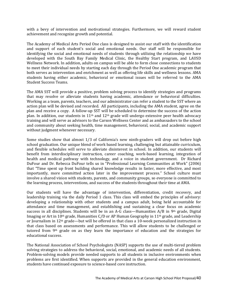with a bevy of intervention and motivational strategies. Furthermore, we will reward student achievement and recognize growth and potential.

The Academy of Medical Arts Period One class is designed to assist our staff with the identification and support of each student's social and emotional needs. Our staff will be responsible for identifying the social and emotional needs of students through utilizing the relationship we have developed with the South Bay Family Medical Clinic, the Healthy Start program, and LAUSD Wellness Network. In addition, adults on campus will be able to form close connections to students to meet their individual needs by starting each day through the Period One academic program that both serves as intervention and enrichment as well as offering life skills and wellness lessons. AMA students having either academic, behavioral or emotional issues will be referred to the AMA Student Success Teams.

The AMA SST will provide a positive, problem solving process to identify strategies and programs that may resolve or alleviate students having academic, attendance or behavioral difficulties. Working as a team, parents, teachers, and our administrator can refer a student to the SST where an action plan will be devised and recorded. All participants, including the AMA student, agree on the plan and receive a copy. A follow-up SST will be scheduled to determine the success of the action plan. In addition, our students in 11th and 12th grade will undergo extensive peer health advocacy training and will serve as advisors to the Carson Wellness Center and as ambassadors to the school and community about seeking health, time management, behavioral, social, and academic support without judgment whenever necessary.

Some studies show that almost 1/3 of California's new ninth-graders will drop out before high school graduation. Our unique blend of work based learning, challenging but attainable curriculum, and flexible schedules will serve to alleviate disinterest in school. In addition, our students will benefit from interdisciplinary instruction, career coaching, work-based learning, integration of health and medical pathway with technology, and a voice in student government. Dr Richard DuFour and Dr. Rebecca DuFour tells us in "Professional Learning Communities at Work" (2006) that "Time spent up front building shared knowledge results in faster, more effective, and most importantly, more committed action later in the improvement process." School culture must involve a shared vision with students, parents, and community groups, so everyone is committed to the learning process, interventions, and success of the students throughout their time at AMA.

Our students will have the advantage of intervention, differentiation, credit recovery, and leadership training via the daily Period 1 class. This class will embed the principles of advisory: developing a relationship with other students and a campus adult, being held accountable for attendance and time management, and establishing and sustaining a clear focus on academic success in all disciplines. Students will be in an A-G class—Humanities A/B in 9th grade, Digital Imaging or Art in 10<sup>th</sup> grade, Humanities C/D or AP Human Geography in 11<sup>th</sup> grade, and Leadership or Journalism in 12th grade—but will be offered in that class a 10-week personalized instruction in that class based on assessments and performance. This will allow students to be challenged or tutored from 9th grade on as they learn the importance of education and the strategies for educational success.

The National Association of School Psychologists (NASP) supports the use of multi-tiered problem solving strategies to address the behavioral, social, emotional, and academic needs of all students. Problem-solving models provide needed supports to all students in inclusive environments when problems are first identified. When supports are provided in the general education environment, students have continued exposure to science-based core instruction.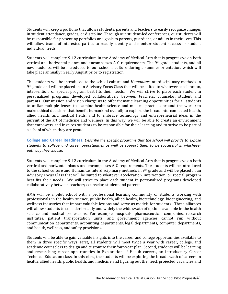Students will keep a portfolio that allows students, parents and teachers to easily recognize changes in student attendance, grades, or discipline. Through our student-led conferences, our students will be responsible for presenting portfolios and goals to parents, guardians, or adults in their lives. This will allow teams of interested parties to readily identify and monitor student success or student individual needs.

Students will complete 9-12 curriculum in the Academy of Medical Arts that is progressive on both vertical and horizontal planes and encompasses A-G requirements. The 9th grade students, and all new students, will be introduced to our school's culture during a summer orientation, which will take place annually in early August prior to registration.

The students will be introduced to the school culture and *Humanitas* interdisciplinary methods in 9th grade and will be placed in an Advisory Focus Class that will be suited to whatever acceleration, intervention, or special program best fits their needs. We will strive to place each student in personalized programs developed collaboratively between teachers, counselor, student and parents. Our mission and vision charge us to offer thematic learning opportunities for all students to utilize multiple lenses to examine health science and medical practices around the world; to make ethical decisions that benefit humankind overall; to explore the broad interconnected health, allied health, and medical fields, and to embrace technology and entrepreneurial ideas in the pursuit of the art of medicine and wellness. In this way, we will be able to create an environment that empowers and inspires students to be responsible for their learning and to strive to be part of a school of which they are proud.

**College and Career Readiness.** *Describe the specific programs that the school will provide to expose students to college and career opportunities as well as support them to be successful in whichever pathway they choose.*

Students will complete 9-12 curriculum in the Academy of Medical Arts that is progressive on both vertical and horizontal planes and encompasses A-G requirements. The students will be introduced to the school culture and Humanitas interdisciplinary methods in  $9<sup>th</sup>$  grade and will be placed in an Advisory Focus Class that will be suited to whatever acceleration, intervention, or special program best fits their needs. We will strive to place each student in personalized programs developed collaboratively between teachers, counselor, student and parents.

AMA will be a pilot school with a professional learning community of students working with professionals in the health science, public health, allied health, biotechnology, bioengineering, and wellness industries that impart valuable lessons and serve as models for students. These alliances will allow students to consider broadly and widely the wide swath of options available in the health science and medical professions. For example, hospitals, pharmaceutical companies, research institutes, patient transportation units, and government agencies cannot run without communication departments, accounting departments, legal departments, computer departments, and health, wellness, and safety provisions.

Students will be able to gain valuable insights into the career and college opportunities available to them in three specific ways. First, all students will meet twice a year with career, college, and academic counselors to design and customize their four-year plan. Second, students will be learning and researching career opportunities in Exploration of Health careers, an introductory Career Technical Education class. In this class, the students will be exploring the broad swath of careers in health, allied health, public health, and medicine and figuring out the need, projected vacancies and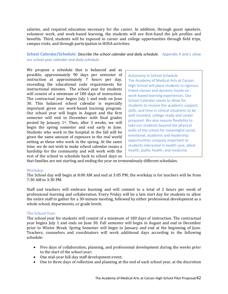salaries, and required education necessary for the career. In addition, through guest speakers, volunteer work, and work-based learning, the students will see first-hand the job profiles and benefits. Third, students will be exposed to career and college opportunities through field trips, campus visits, and through participation in HOSA activities.

# **School Calendar/Schedule:** *Describe the school calendar and daily schedule. Appendix K and L show our school year calendar and daily schedule.*

We propose a schedule that is balanced and as possible, approximately 90 days per semester of instruction at approximately 7 hours per day, exceeding the educational code requirements for instructional minutes. The school year for students will consist of a minimum of 180 days of instruction. The contractual year begins July 1 and ends on June 30. This balanced school calendar is especially important given our work-based learning program. Our school year will begin in August and the first semester will end in December with final grades posted by January 1st. Then, after 3 weeks, we will begin the spring semester and end early in June. Students who work in the hospital in the fall will be given the same amount of exposure in the real world setting as those who work in the spring. At the same time, we do not wish to make school calendar issues a hardship for the community and will work with the rest of the school to schedule back to school days so

Autonomy in School Schedule The Academy of Medical Arts at Carson High School will place students in rigorous linked classes and dynamic hands-on work-based learning experiences. Our School Calendar needs to allow for students to receive the academic support, skills, and time in clinical situations to be well rounded, college ready and career prepared. We also require flexibility to take our students beyond the physical walls of the school for meaningful social, emotional, academic and leadership opportunities uniquely important to students interested in health care, allied health, public health, and medicine.

that families are not starting and ending the year on tremendously different schedules.

#### Workday:

The School day will begin at 8:00 AM and end at 3:05 PM; the workday is for teachers will be from 7:30 AM to 3:30 PM.

Staff and teachers will embrace learning and will commit to a total of 2 hours per week of professional learning and collaboration. Every Friday will be a late start day for students to allow the entire staff to gather for a 30-minute meeting, followed by either professional development as a whole school, departments, or grade levels.

#### The School Year:

The school year for students will consist of a minimum of 180 days of instruction. The contractual year begins July 1 and ends on June 30. Fall semester will begin in August and end in December prior to Winter Break. Spring Semester will begin in January and end at the beginning of June. Teachers, counselors and coordinators will work additional days according to the following schedule:

- Five days of collaboration, planning, and professional development during the weeks prior to the start of the school year;
- One mid-year full-day staff development event;
- One to three days of reflection and planning at the end of each school year, at the discretion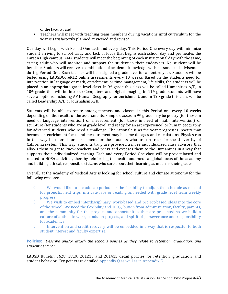of the faculty, and

• Teachers will meet with teaching team members during vacations until curriculum for the year is satisfactorily planned, reviewed and revised.

Our day will begin with Period One each and every day. This Period One every day will minimize student arriving to school tardy and lack of focus that begins each school day and permeates the Carson High campus. AMA students will meet the beginning of each instructional day with the same, caring adult who will monitor and support the student in their endeavors. No student will be invisible. Students will receive a combination of academic knowledge with personalized advisement during Period One. Each teacher will be assigned a grade level for an entire year. Students will be tested using LAUSDCoreK12 online assessments every 10 weeks. Based on the students need for intervention in language or math, enrichment, or time management, life skills, the students will be placed in an appropriate grade level class. In 9<sup>th</sup> grade this class will be called Humanities  $A/B$ , in 10th grade this will be Intro to Computers and Digital Imaging, in 11th grade students will have several options, including AP Human Geography for enrichment, and in 12<sup>th</sup> grade this class will be called Leadership A/B or Journalism A/B.

Students will be able to rotate among teachers and classes in this Period one every 10 weeks depending on the results of the assessments. Sample classes in 9th grade may be poetry (for those in need of language intervention) or measurement (for those in need of math intervention) or sculpture (for students who are at grade level and ready for an art experience) or human geography for advanced students who need a challenge. The rationale is as the year progresses, poetry may become an enrichment focus and measurement may become dosages and calculations. Physics can in this way be offered for enrichment for the students who are on track for the University of California system. This way, students truly are provided a more individualized class advisory that allows them to get to know teachers and peers and exposes them to the Humanities in a way that supports their individualized learning. Each and every Period One class will be project based and related to HOSA activities, thereby reinforcing the health and medical global focus of the academy and building ethical, responsible citizens who care about their learning as much as their grades.

# Overall, at the Academy of Medical Arts is looking for school culture and climate autonomy for the following reasons:

- ◊ We would like to include lab periods or the flexibility to adjust the schedule as needed for projects, field trips, intricate labs or reading as needed with grade level team weekly progress.
- ◊ We wish to embed interdisciplinary, work-based and project-based ideas into the core of the school. We need the flexibility and 100% buy-in from administration, faculty, parents, and the community for the projects and opportunities that are presented so we build a culture of authentic work, hands-on projects, and spirit of perseverance and responsibility for academics;
- $\Diamond$  Intervention and credit recovery will be embedded in a way that is respectful to both student interest and faculty expertise.

# **Policies:** *Describe and/or attach the school's policies as they relate to retention, graduation, and student behavior.*

LAUSD Bulletin 3628, 3819, 201213 and 201415 detail policies for retention, graduation, and student behavior. Key points are detailed Appendix  $Q$  as well as in Appendix E.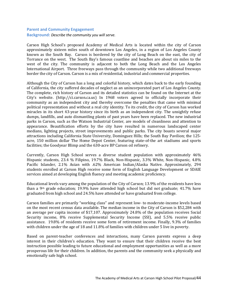## **Parent and Community Engagement**

**Background:** *Describe the community you will serve.*

Carson High School's proposed Academy of Medical Arts is located within the city of Carson approximately sixteen miles south of downtown Los Angeles, in a region of Los Angeles County known as the South Bay. Carson is bordered by the city of Long Beach on the east, the city of Torrance on the west. The South Bay's famous coastline and beaches are about six miles to the west of the city. The community is adjacent to both the Long Beach and the Los Angeles International Airport. Three freeways pass through the community while two additional freeways border the city of Carson. Carson is a mix of residential, industrial and commercial properties.

Although the City of Carson has a long and colorful history, which dates back to the early founding of California, the city suffered decades of neglect as an unincorporated part of Los Angeles County. The complete, rich history of Carson and its detailed statistics can be found on the Internet at the City's website. (http://ci.carson.ca.us) In 1968 voters agreed to officially incorporate their community as an independent city and thereby overcome the penalties that came with minimal political representation and without a real city identity. To its credit, the city of Carson has worked miracles in its short 43-year history since its birth as an independent city. The unsightly refuse dumps, landfills, and auto dismantling plants of past years have been replaced. The new industrial parks in Carson, such as the Watson Industrial Center, are models of cleanliness and attention to appearance. Beautification efforts by the city have resulted in numerous landscaped center medians, lighting projects, street improvements and public parks. The city boasts several major attractions including California State University, Dominguez Hills; the South Bay Pavilion; the 125 acre, 150 million dollar The Home Depot Center, featuring state-of-the art stadiums and sports facilities; the Goodyear Blimp and the 630-acre BP Carson oil refinery.

Currently, Carson High School serves a diverse student population with approximately 46% Hispanic students, 23.4 % Filipino, 19.7% Black, Non-Hispanic, 3.3% White, Non-Hispanic, 4.8% Pacific Islander, 2.1% Asian with .62% American Indian/Alaska Native. Approximately, 294 students enrolled at Carson High receive some form of English Language Development or SDAIE services aimed at developing English fluency and meeting academic proficiency.

Educational levels vary among the population of the City of Carson; 13.9% of the residents have less than a 9th grade education; 19.9% have attended high school but did not graduate; 41.7% have graduated from high school and 24.5% have attended or have graduated from college.

Carson families are primarily "working class" and represent low- to moderate-income levels based on the most recent census data available. The median income in the City of Carson is \$52,284 with an average per capita income of \$17,107. Approximately 24.8% of the population receives Social Security income, 8% receive Supplemental Security Income (SSI), and 5.5% receive public assistance. 19.8% of residents receive some form of retirement income. Finally, 9.3% of families with children under the age of 18 and 11.8% of families with children under 5 live in poverty.

Based on parent-teacher conferences and interactions, many Carson parents express a deep interest in their children's education. They want to ensure that their children receive the best instruction possible leading to future educational and employment opportunities as well as a more prosperous life for their children. In addition, the parents and the community seek a physically and emotionally safe high school.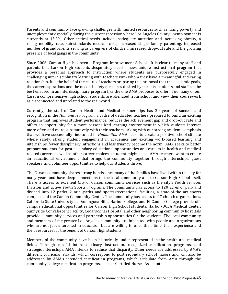Parents and community face growing challenges with limited resources such as rising poverty and unemployment especially during the current recession where Los Angeles County unemployment is currently at 13.3%. Other critical needs include inadequate nutrition and increasing obesity, a rising mobility rate, sub-standards medical care, increased single family parenting, increased number of grandparents serving as caregivers of children, increased drop-out rate and the growing presence of local gangs in the community.

Since 2006, Carson High has been a Program Improvement School. It is clear to many staff and parents that Carson High students desperately need a new, unique instructional program that provides a personal approach to instruction where students are purposefully engaged in challenging interdisciplinary learning with teachers with whom they have a meaningful and caring relationship. It is the belief of the cadre of teachers preparing this proposal that the academic goals, the career aspirations and the needed safety measures desired by parents, students and staff can be best ensured in an interdisciplinary program like the one AMA proposes to offer. Too many of our Carson comprehensive high school students are alienated from school and view their coursework as disconnected and unrelated to the real world.

Currently, the staff of Carson Health and Medical Partnerships has 20 years of success and recognition in the *Humanitas* Program, a cadre of dedicated teachers prepared to build an exciting program that improves student performance, reduces the achievement gap and drop-out rate and offers an opportunity for a more personalized learning environment in which students interact more often and more substantively with their teachers. Along with our strong academic emphasis that we have successfully fine-tuned in *Humanitas,* AMA seeks to create a positive school climate where safety, strong student engagement in academics and exciting work-based learning and internships, fewer disciplinary infractions and less truancy become the norm. AMA seeks to better prepare students for post-secondary educational opportunities and careers in health and medical related careers as well as other career choices a student might seek. AMA teachers want to create an educational environment that brings the community together through internships, guest speakers, and volunteer opportunities to help our students thrive.

The Carson community shares strong bonds since many of the families have lived within the city for many years and have deep connections to the local community and to Carson High School itself. There is access to excellent City of Carson community services such as the city's Youth Services Division and active Youth Sports Programs. The community has access to 120 acres of parkland divided into 12 parks, 2 mini-parks and sports/recreational facilities, a state-of-the art sports complex and the Carson Community Center. The community has access to 47 church organizations. California State University at Dominguez Hills, Harbor College, and El Camino College provide offcampus educational opportunities for Carson High School students. Harbor-UCLA Medical Center, Sunnyside Convalescent Facility, Cedars-Sinai Hospital and other neighboring community hospitals provide community services and partnership opportunities for the students. The local community and members of the greater Los Angeles community are inhabited with people and organizations who are not just interested in education but are willing to offer their time, their experience and their resources for the benefit of Carson High students.

Members of the community have been historically under-represented in the health and medical fields. Through careful interdisciplinary instruction, recognized certification programs, and strategic internships, AMA intends to reduce that disparity. Other needs are addressed by AMA's different curricular strands, which correspond to post secondary school majors and will also be addressed by AMA's intended certification programs, which articulate from AMA through the community college certification programs, such as Certified Nurses Assistant.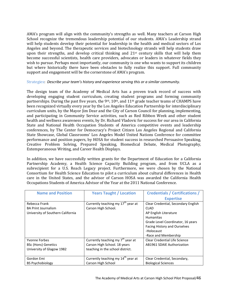AMA's program will align with the community's strengths as well. Many teachers at Carson High School recognize the tremendous leadership potential of our students. AMA's Leadership strand will help students develop their potential for leadership in the health and medical sectors of Los Angeles and beyond. The therapeutic services and biotechnology strands will help students draw upon their strengths, and develop critical thinking and 21<sup>st</sup> century skills that will help them become successful scientists, health care providers, advocates or leaders in whatever fields they wish to pursue. Perhaps most importantly, our community is one who wants to support its children but where historically there have been obstacles to fully realize this support. Full community support and engagement will be the cornerstone of AMA's program.

## Strategies: *Describe your team's history and experience serving this or a similar community.*

The design team of the Academy of Medical Arts has a proven track record of success with developing engaging student curriculum, creating student programs and forming community partnerships. During the past five years, the 9<sup>th</sup>, 10<sup>th</sup>, and 11<sup>th</sup> grade teacher teams of CHAMPS have been recognized virtually every year by the Los Angeles Education Partnership for interdisciplinary curriculum units, by the Mayor Jim Dear and the City of Carson Council for planning, implementing, and participating in Community Service activities, such as Red Ribbon Week and other student health and wellness awareness events, by Dr. Richard Vladovic for success for our area in California State and National Health Occupation Students of America competitive events and leadership conferences, by The Center for Democracy's Project Citizen Los Angeles Regional and California State Showcase, Global Classrooms' Los Angeles Model United Nations Conference for committee performance and position papers, by HOSA for student success in researched Persuasive Speaking, Creative Problem Solving, Prepared Speaking, Biomedical Debate, Medical Photography, Extemporaneous Writing, and Career Health Displays.

In addition, we have successfully written grants for the Department of Education for a California Partnership Academy, a Health Science Capacity Building program, and from UCLA as a subrecipient for a U.S. Reach Legacy project. Furthermore, we were chosen by the National Consortium for Health Science Education to pilot a curriculum about cultural differences in Health care in the United States, and the advisor of Carson HOSA was awarded the California Health Occupations Students of America Advisor of the Year at the 2011 National Conference.

| <b>Name and Position</b>          | <b>Years Taught / Location</b>                 | <b>Credentials / Certifications /</b> |
|-----------------------------------|------------------------------------------------|---------------------------------------|
|                                   |                                                | <b>Expertise</b>                      |
| Rebecca Frank                     | Currently teaching my 17 <sup>th</sup> year at | Clear Credential, Secondary English   |
| <b>BA Print Journalism</b>        | Carson High School.                            | <b>CLAD</b>                           |
| University of Southern California |                                                | AP English Literature                 |
|                                   |                                                | <b>Humanitas</b>                      |
|                                   |                                                | Grade Level Coordinator, 16 years     |
|                                   |                                                | <b>Facing History and Ourselves</b>   |
|                                   |                                                | -Holocaust                            |
|                                   |                                                | -Race and Membership                  |
| Yvonne Forbes                     | Currently teaching my $7th$ year at            | Clear Credential Life Science         |
| <b>BSc (Hons) Genetics</b>        | Carson High School. 18 years                   | <b>AB1961 SDAIE Authorization</b>     |
| University of Glagow 1982         | teaching in the school district.               |                                       |
|                                   |                                                |                                       |
| Gordon Emi                        | Currently teaching my 14 <sup>th</sup> year at | Clear Credential, Secondary,          |
| <b>BS Psychobiology</b>           | Carson High School                             | <b>Biological Sciences</b>            |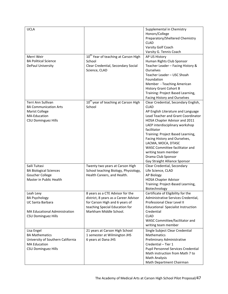| <b>UCLA</b>                       |                                                  | Supplemental in Chemistry<br>Honors/College<br>Preparatory/Sheltered Chemistry<br><b>CLAD</b><br>Varsity Golf Coach<br>Varsity G. Tennis Coach |
|-----------------------------------|--------------------------------------------------|------------------------------------------------------------------------------------------------------------------------------------------------|
| Merri Weir                        | 10 <sup>th</sup> Year of teaching at Carson High | AP US History                                                                                                                                  |
| <b>BA Political Science</b>       | School                                           | Human Rights Club Sponsor                                                                                                                      |
| DePaul University                 | Clear Credential, Secondary Social               | Teacher Leader - Facing History &                                                                                                              |
|                                   | Science, CLAD                                    | <b>Ourselves</b>                                                                                                                               |
|                                   |                                                  | Teacher Leader - USC Shoah                                                                                                                     |
|                                   |                                                  | Foundation                                                                                                                                     |
|                                   |                                                  | Member - Teaching American                                                                                                                     |
|                                   |                                                  | <b>History Grant Cohort B</b>                                                                                                                  |
|                                   |                                                  | Training: Project Based Learning,                                                                                                              |
|                                   |                                                  | Facing History and Ourselves                                                                                                                   |
| Terri Ann Sullivan                | 10 <sup>th</sup> year of teaching at Carson High | Clear Credential, Secondary English,                                                                                                           |
| <b>BA Communication Arts</b>      | School                                           | <b>CLAD</b>                                                                                                                                    |
| Marist College                    |                                                  | AP English Literature and Language                                                                                                             |
| MA-Education                      |                                                  | Lead Teacher and Grant Coordinator                                                                                                             |
| <b>CSU Dominguez Hills</b>        |                                                  | HOSA Chapter Advisor and 2011                                                                                                                  |
|                                   |                                                  | LAEP interdisciplinary workshop                                                                                                                |
|                                   |                                                  | facilitator                                                                                                                                    |
|                                   |                                                  | Training: Project Based Learning,                                                                                                              |
|                                   |                                                  | Facing History and Ourselves,                                                                                                                  |
|                                   |                                                  | LACMA, MOCA, DTASC                                                                                                                             |
|                                   |                                                  | WASC Committee facilitator and                                                                                                                 |
|                                   |                                                  | writing team member                                                                                                                            |
|                                   |                                                  | Drama Club Sponsor                                                                                                                             |
|                                   |                                                  | Gay Straight Alliance Sponsor                                                                                                                  |
| Saili Tuitasi                     | Twenty two years at Carson High                  | Clear Credential, Secondary                                                                                                                    |
| <b>BA Biological Sciences</b>     | School teaching Biology, Physiology,             | Life Science, CLAD                                                                                                                             |
| Goucher College                   | Health Careers, and Health.                      | AP Biology                                                                                                                                     |
| Master in Public Health           |                                                  | <b>HOSA Chapter Advisor</b>                                                                                                                    |
|                                   |                                                  | Training: Project-Based Learning,                                                                                                              |
|                                   |                                                  | Biotechnology                                                                                                                                  |
| Leah Levy                         | 8 years as a CTE Advisor for the                 | Certificate of Eligibility for the                                                                                                             |
| <b>BA Psychology</b>              | district, 8 years as a Career Advisor            | Administrative Services Credential,                                                                                                            |
| <b>UC Santa Barbara</b>           | for Carson High and 6 years of                   | Professional Clear Level II                                                                                                                    |
|                                   | teaching Special Education for                   | <b>Educational Specialist Instruction</b>                                                                                                      |
| MA Educational Administration     | Markham Middle School.                           | Credential                                                                                                                                     |
| <b>CSU Dominguez Hills</b>        |                                                  | <b>CLAD</b>                                                                                                                                    |
|                                   |                                                  | WASC Committee/facilitator and                                                                                                                 |
|                                   |                                                  | writing team member                                                                                                                            |
| Lisa Engel                        | 21 years at Carson High School                   | Single Subject Clear Credential                                                                                                                |
| <b>BA Mathematics</b>             | 1 semester at Wilmington JHS                     | Mathematics                                                                                                                                    |
| University of Southern California | 6 years at Dana JHS                              | Preliminary Administrative                                                                                                                     |
| <b>MA Education</b>               |                                                  | Credential - Tier 1                                                                                                                            |
| <b>CSU Dominguez Hills</b>        |                                                  | Pupil Personnel Services Credential                                                                                                            |
|                                   |                                                  | Math instruction from Math 7 to                                                                                                                |
|                                   |                                                  | <b>Math Analysis</b>                                                                                                                           |
|                                   |                                                  | Math Department Chairman                                                                                                                       |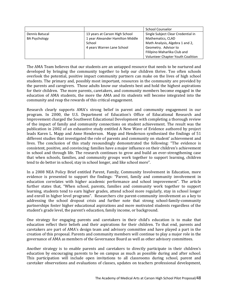|                      |                                                       | <b>School Counselor</b>            |
|----------------------|-------------------------------------------------------|------------------------------------|
| Dennis Batucal       | 13 years at Carson High School                        | Single Subject Clear Credential in |
| <b>BA Psychology</b> | 1 year Alexander Hamilton Middle<br>Mathematics, CLAD |                                    |
|                      | School                                                | Math Analysis, Algebra 1 and 2,    |
|                      | 4 years Warren Lane School                            | Geometry. Advisor to               |
|                      |                                                       | Fililpino Maharlika Club and       |
|                      |                                                       | Volunteer Chapter Youth Coalition  |

The AMA Team believes that our students are an untapped resource that needs to be nurtured and developed by bringing the community together to help our children thrive. Too often schools overlook the potential, positive impact community partners can make on the lives of high school students. The primary and, possibly most important, resources in the community are provided by the parents and caregivers. Those adults know our students best and hold the highest aspirations for their children. The more parents, caretakers, and community members become engaged in the education of AMA students, the more the AMA and its students will become integrated into the community and reap the rewards of this critical engagement.

Research clearly supports AMA's strong belief in parent and community engagement in our program. In 2000, the U.S. Department of Education's Office of Educational Research and Improvement charged the Southwest Educational Development with completing a thorough review of the impact of family and community connections on student achievement. The result was the publication in 2002 of an exhaustive study entitled A New Wave of Evidence authored by project leads Karen L. Mapp and Anne Henderson. Mapp and Henderson synthesized the findings of 51 different studies that investigated the role of parents and community on student' achievement and lives. The conclusion of this study resoundingly demonstrated the following: "The evidence is consistent, positive, and convincing: families have a major influence on their children's achievement in school and through life. The research continues to grow and build an ever-strengthening case that when schools, families, and community groups work together to support learning, children tend to do better in school, stay in school longer, and like school more".

In a 2008 NEA Policy Brief entitled Parent, Family, Community Involvement in Education, more evidence is presented to support the findings: "Parent, family and community involvement in education correlates with higher academic performance and school improvement". The article further states that, "When school, parents, families and community work together to support learning, students tend to earn higher grades, attend school more regularly, stay in school longer and enroll in higher level programs". Researchers cite parent-community involvement as a key to addressing the school dropout crisis and further note that strong school-family-community partnerships foster higher educational aspirations and more motivated students regardless of the student's grade level, the parent's education, family income, or background.

One strategy for engaging parents and caretakers in their child's education is to make that education reflect their beliefs and their aspirations for their children. To that end, parents and caretakers are part of AMA's design team and advisory committee and have played a part in the creation of this proposal. Parents and community members will continue to play a major role in the governance of AMA as members of the Governance Board as well as other advisory committees.

Another strategy is to enable parents and caretakers to directly participate in their children's education by encouraging parents to be on campus as much as possible during and after school. This participation will include open invitations to all classrooms during school, parent and caretaker observations and evaluations of classes, updates on teachers professional development,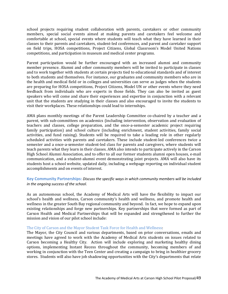school projects requiring student collaboration with parents, caretakers or other community members, special social events aimed at making parents and caretakers feel welcome and comfortable at school, special events where students will teach what they have learned in their classes to their parents and caretakers, student-led conferences, and parent and caretaker support on field trips, HOSA competitions, Project Citizens, Global Classroom's Model United Nations competitions, and participation in museum and medical center programs.

Parent participation would be further encouraged with an increased alumni and community member presence. Alumni and other community members will be invited to participate in classes and to work together with students at certain projects tied to educational standards and of interest to both students and themselves. For instance, our graduates and community members who are in the health and medical field or in colleges and universities can serve as judges when the students are preparing for HOSA competitions, Project Citizens, Model UN or other events where they need feedback from individuals who are experts in those fields. They can also be invited as guest speakers who will come and share their experiences and expertise in conjunction with a relevant unit that the students are studying in their classes and also encouraged to invite the students to visit their workplaces. These relationships could lead to internships.

AMA plans monthly meetings of the Parent Leadership Committee co-chaired by a teacher and a parent, with sub-committees on academics (including intervention, observation and evaluation of teachers and classes, college preparation, and the once-a-semester academic project requiring family participation) and school culture (including enrichment, student activities, family social activities, and fund raising). Students will be required to take a leading role in other regularly scheduled activities with parents and caretakers. These include student-led conferences twice a semester and a once-a-semester student-led class for parents and caregivers, where students will teach parents what they learn in their classes. AMA also intends to participate actively in the Carson High School Alumni Association, and to offer to all our former students alumni open houses, e-mail communication, and a student-alumni event demonstrating joint projects. AMA will also have its students host a school website, updated daily, including a webpage reporting on individual student accomplishments and on events of interest.

# **Key Community Partnerships:** *Discuss the specific ways in which community members will be included in the ongoing success of the school.*

As an autonomous school, the Academy of Medical Arts will have the flexibility to impact our school's health and wellness, Carson community's health and wellness, and promote health and wellness in the greater South Bay regional community and beyond. In fact, we hope to expand upon existing relationships and forge new partnerships. Key partnerships that were formed as part of Carson Health and Medical Partnerships that will be expanded and strengthened to further the mission and vision of our pilot school include:

## The City of Carson and the Mayor Student Task Force for Health and Wellness:

The Mayor, the City Council and various departments, based on prior conversations, emails and meetings have agreed to work with the Academy of Medical Arts students on issues related to Carson becoming a Healthy City. Action will include exploring and marketing healthy dining options, implementing Instant Recess throughout the community, becoming members of and working in conjunction with the Teen Center and creating a campaign to bring in healthier grocery stores. Students will also have job shadowing opportunities with the City's departments that relate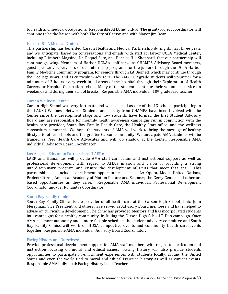to health and medical occupations. Responsible AMA Individual: The grant/project coordinator will continue to be the liaison with both The City of Carson and with Mayor Jim Dear.

#### Harbor UCLA Medical Center:

This partnership has benefited Carson Health and Medical Partnership during its first three years and we anticipate, based on conversations and emails with staff at Harbor UCLA Medical Center, including Elizabeth Magsino, Dr. Raquel Soto, and Bernice Hill Shephard, that our partnership will continue growing. Members of Harbor UCLA's staff serve as CHAMPS Advisory Board members, guest speakers, supervisors of our internship programs for the juniors through the UCLA Harbor Family Medicine Community program, for seniors through LA Biomed, which may continue through their college years, and as curriculum advisors. The AMA 10<sup>th</sup> grade students will volunteer for a minimum of 2 hours every week in all areas of the hospital through their Exploration of Health Careers or Hospital Occupations class. Many of the students continue their volunteer service on weekends and during their school breaks. Responsible AMA individual: 10<sup>th</sup> grade lead teacher.

#### Carson Wellness Center:

Carson High School was very fortunate and was selected as one of the 13 schools participating in the LAUSD Wellness Network. Students and faculty from CHAMPS have been involved with the Center since the development stage and now students have formed the first Student Advisory Board and are responsible for monthly health awareness campaigns run in conjunction with the health care provider, South Bay Family Health Care, the Healthy Start office, and the wellness consortium personnel. We hope the students of AMA will work to bring the message of healthy lifestyle to other schools and the greater Carson community. We anticipate AMA students will be trained as Peer Health Care Advocates and will job shadow at the Center. Responsible AMA individual: Advisory Board Coordinator.

#### Los Angeles Education Partnerships (LAEP):

LAEP and Humanitas will provide AMA staff curriculum and instructional support as well as professional development with regard to AMA's mission and vision of providing a strong interdisciplinary program and ensure the development of Units that meet that goal. This partnership also includes enrichment opportunities such as LA Opera, Model United Nations, Project Citizen, American Academy of Motion Picture and Sciences, the Gerry Center and other art based opportunities as they arise. Responsible AMA individual: Professional Development Coordinator and/or Humanitas Coordinator.

#### South Bay Family Clinics:

South Bay Family Clinics is the provider of all health care at the Carson High School clinic. John Merryman, Vice President, and others have served as Advisory Board members and have helped to advise on curriculum development. The clinic has provided Mentors and has incorporated students into campaigns for a healthy community, including the Carson High School T-Dap campaign. Once AMA has more autonomy and a more flexible schedule, the student advisory committee and South Bay Family Clinics will work on HOSA competitive events and community health care events together. Responsible AMA individual: Advisory Board Coordinator.

#### Facing History and Ourselves:

Provide professional development support for AMA staff members with regard to curriculum and instruction focusing on moral and ethical issues. Facing History will also provide students opportunities to participate in enrichment experiences with students locally, around the United States and even the world tied to moral and ethical issues in history as well as current events. Responsible AMA individual: Facing History Lead Teacher.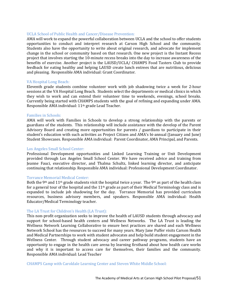## UCLA School of Public Health and Cancer/Disease Prevention:

AMA will work to expand the powerful collaboration between UCLA and the school to offer students opportunities to conduct and interpret research at Carson High School and the community. Students also have the opportunity to write about original research, and advocate for implement change in the school or community based on that research. One new project is the Instant Recess project that involves starting the 10-minute recess breaks into the day to increase awareness of the benefits of exercise. Another project is the LAUSD/UCLA/ CHAMPS Food Tasters Club to provide feedback for eating healthy and helping LAUSD create lunch entrees that are nutritious, delicious and pleasing. Responsible AMA individual: Grant Coordinator.

#### VA Hospital Long Beach:

Eleventh grade students combine volunteer work with job shadowing twice a week for 2-hour sessions at the VA Hospital Long Beach. Students select the departments or medical clinics in which they wish to work and can extend their volunteer time to weekends, evenings, school breaks. Currently being started with CHAMPS students with the goal of refining and expanding under AMA. Responsible AMA individual: 11th grade Lead Teacher.

#### Families in Schools:

AMA will work with Families in Schools to develop a strong relationship with the parents or guardians of the students. This relationship will include assistance with the develop of the Parent Advisory Board and creating more opportunities for parents / guardians to participate in their student's education with such activities as Project Citizen and AMA's bi-annual (January and June) Student Showcases. Responsible AMA individual: Parent Coordinator, AMA Principal, and Parents.

#### Los Angeles Small School Center:

Professional Development opportunities and Linked Learning Training or Unit Development provided through Los Angeles Small School Center. We have received advice and training from Jeanne Fauci, executive director, and Thalma Schultz, linked learning director, and anticipate continuing that relationship. Responsible AMA individual: Professional Development Coordinator.

#### Torrance Memorial Medical Center:

Both the 9<sup>th</sup> and 11<sup>th</sup> grade students visit the hospital twice a year. The 9<sup>th</sup> as part of the health class for a general tour of the hospital and the 11th grade as part of their Medical Terminology class and is expanded to include job shadowing for the day. Torrance Memorial has provided curriculum resources, business advisory members, and speakers. Responsible AMA individual: Health Educator/Medical Terminology teacher.

#### The LA Trust for Children's Health (LA Trust):

This non-profit organization seeks to improve the health of LAUSD students through advocacy and support for school-based health centers and Wellness Networks. The LA Trust is leading the Wellness Network Learning Collaborative to ensure best practices are shared and each Wellness Network School has the resources to succeed for many years. Mary Jane Puffer visits Carson Health and Medical Partnerships to work with student advocates and help build student engagement in the Wellness Center. Through student advocacy and career pathway programs, students have an opportunity to engage in the health care arena by learning firsthand about how health care works and why it is important to access care for themselves, their families and the community. Responsible AMA individual: Lead Teacher

CHAMPS Camp with Caroldale Learning Center and Steven White Middle School: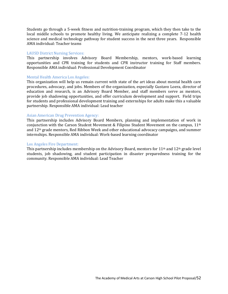Students go through a 5-week fitness and nutrition-training program, which they then take to the local middle schools to promote healthy living. We anticipate realizing a complete 7-12 health science and medical technology pathway for student success in the next three years. Responsible AMA individual: Teacher teams

## LAUSD District Nursing Services:

This partnership involves Advisory Board Membership, mentors, work-based learning opportunities and CPR training for students and CPR instructor training for Staff members. Responsible AMA individual: Professional Development Coordinator

#### Mental Health America Los Angeles:

This organization will help us remain current with state of the art ideas about mental health care procedures, advocacy, and jobs. Members of the organization, especially Gustavo Loera, director of education and research, is an Advisory Board Member, and staff members serve as mentors, provide job shadowing opportunities, and offer curriculum development and support. Field trips for students and professional development training and externships for adults make this a valuable partnership. Responsible AMA individual: Lead teacher

#### Asian American Drug Prevention Agency:

This partnership includes Advisory Board Members, planning and implementation of work in conjunction with the Carson Student Movement & Filipino Student Movement on the campus, 11th and 12th grade mentors, Red Ribbon Week and other educational advocacy campaigns, and summer internships. Responsible AMA individual: Work-based learning coordinator

#### Los Angeles Fire Department:

This partnership includes membership on the Advisory Board, mentors for 11th and 12th grade level students, job shadowing, and student participation in disaster preparedness training for the community. Responsible AMA individual: Lead Teacher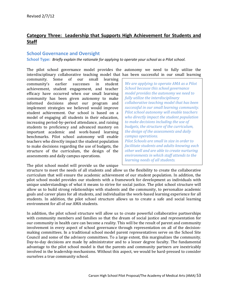# **Category Three: Leadership that Supports High Achievement for Students and Staff**

# **School Governance and Oversight**

**School Type:** *Briefly explain the rationale for applying to operate your school as a Pilot school.* 

The pilot school governance model provides the autonomy we need to fully utilize the interdisciplinary collaborative teaching model that has been successful in our small learning community. Some of our small learning

community. Some of our small learning<br>community's earlier successes in student community's achievement, student engagement, and teacher efficacy have occurred when our small learning community has been given autonomy to make informed decisions about our program and implement strategies we believed would improve student achievement. Our school is based on a model of engaging all students in their education, increasing period-by-period attendance, and raising students to proficiency and advanced mastery on important academic and work-based learning benchmarks. Pilot school autonomy will enable teachers who directly impact the student population to make decisions regarding the use of budgets, the structure of the curriculum, the design of the assessments and daily campus operations.

*We are applying to operate AMA as a Pilot School because this school governance model provides the autonomy we need to fully utilize the interdisciplinary collaborative teaching model that has been successful in our small learning community. Pilot school autonomy will enable teachers who directly impact the student population to make decisions including the use of budgets, the structure of the curriculum, the design of the assessments and daily campus operations. Pilot Schools are small in size in order to facilitate students and adults knowing each other well and are able to create nurturing environments in which staff attends to the learning needs of all students.*

The pilot school model will provide us the unique

structure to meet the needs of all students and allow us the flexibility to create the collaborative curriculum that will ensure the academic achievement of our student population. In addition, the pilot school model provides our students with a framework for development as individuals with unique understandings of what it means to strive for social justice. The pilot school structure will allow us to build strong relationships with students and the community, to personalize academic goals and career plans for all students, and individualize the work-based learning experience for all students. In addition, the pilot school structure allows us to create a safe and social learning environment for all of our AMA students.

In addition, the pilot school structure will allow us to create powerful collaborative partnerships with community members and families so that the dream of social justice and representation for our community in health care can become a reality. This will be the result of parent and community involvement in every aspect of school governance through representation on all of the decisionmaking committees. In a traditional school model parent representatives serve on the School Site Council and some of the advisory committees. To a large extent, this marginalizes the community. Day-to-day decisions are made by administrator and to a lesser degree faculty. The fundamental advantage to the pilot school model is that the parents and community partners are inextricably involved in the leadership mechanisms. Without this aspect, we would be hard-pressed to consider ourselves a true community school.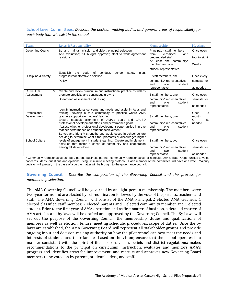# School Level Committees. *Describe the decision-making bodies and general areas of responsibility for each body that will exist in the school.*

| Team                                                                                                                                                                                                                              | Roles & Responsibility                                                                                                                                                                                                                                                                                                                                                                                   | Membership                                                                                    | <b>Meetings</b>                          |
|-----------------------------------------------------------------------------------------------------------------------------------------------------------------------------------------------------------------------------------|----------------------------------------------------------------------------------------------------------------------------------------------------------------------------------------------------------------------------------------------------------------------------------------------------------------------------------------------------------------------------------------------------------|-----------------------------------------------------------------------------------------------|------------------------------------------|
| <b>Governing Council</b><br>Set and maintain mission and vision; principal selection<br>And evaluation; full budget approval; elect to work agreement<br>classified<br>from<br>revisions<br>credentialed staff<br>member, and one |                                                                                                                                                                                                                                                                                                                                                                                                          | Principal, 4 staff members<br>and<br>At least one community*                                  | Once every<br>four to eight<br>Weeks     |
|                                                                                                                                                                                                                                   |                                                                                                                                                                                                                                                                                                                                                                                                          | student representative.                                                                       |                                          |
| Discipline & Safety                                                                                                                                                                                                               | Establish<br>the<br>code<br>of<br>conduct.<br>school<br>safety<br>plan,<br>progressive/restorative discipline                                                                                                                                                                                                                                                                                            | 3 staff members, one                                                                          | Once every                               |
|                                                                                                                                                                                                                                   | Policy                                                                                                                                                                                                                                                                                                                                                                                                   | community* representatives<br>and<br>student<br>one                                           | semester or                              |
|                                                                                                                                                                                                                                   |                                                                                                                                                                                                                                                                                                                                                                                                          | representative                                                                                | as needed                                |
| &<br>Curriculum                                                                                                                                                                                                                   | Create and review curriculum and instructional practice as well as                                                                                                                                                                                                                                                                                                                                       |                                                                                               |                                          |
| Assessment                                                                                                                                                                                                                        | promote creativity and continuous growth;                                                                                                                                                                                                                                                                                                                                                                | 3 staff members, one                                                                          | Once every                               |
|                                                                                                                                                                                                                                   | Spearhead assessment and testing                                                                                                                                                                                                                                                                                                                                                                         | community* representatives<br>and<br>one<br>student                                           | semester or                              |
|                                                                                                                                                                                                                                   |                                                                                                                                                                                                                                                                                                                                                                                                          | representative                                                                                | as needed                                |
| Professional<br>Development                                                                                                                                                                                                       | Identify instructional concerns and needs and assist in focus and<br>training; develop a true community of practice where AMA<br>teachers support each others' learning<br>Ensure strategic alignment of AMA's goals and LAUSD<br>professional development efforts and performance goals<br>Assess whether professional development opportunities improve<br>teacher performance and student achievement | 3 staff members, one<br>community* representatives<br>and<br>student<br>one<br>representative | Once<br>a<br>month<br>Or<br>as<br>needed |
| <b>School Culture</b>                                                                                                                                                                                                             | Survey and identify strengths and weaknesses in school culture<br>seeking to determine what either promotes or discourages higher<br>levels of engagement in student learning. Create and implement<br>activities that foster a sense of community and cooperation<br>among all stakeholders.                                                                                                            | 3 staff members, two<br>community* representatives<br>two<br>student<br>and<br>representative | Once every<br>semester or<br>as needed   |

\* Community representative can be a parent, business partner, community representative, or nonpaid AMA affiliate. Opportunities to voice concerns, ideas, questions and opinions using 30 minute meeting protocol. Each member of the committee will have one vote. Majority decision will prevail, in the case of a tie the matter will be brought to the governance council.

# **Governing Council.** *Describe the composition of the Governing Council and the process for membership selection.*

The AMA Governing Council will be governed by an eight-person membership. The members serve two-year terms and are elected by self-nomination followed by the vote of the parents, teachers and staff. The AMA Governing Council will consist of the AMA Principal, 2 elected AMA teachers, 1 elected classified staff member, 2 elected parents and 1 elected community member and 1 elected student. Prior to the first year of AMA operation and as first matter of business, a detailed charter of AMA articles and by laws will be drafted and approved by the Governing Council. The By Laws will set out the purpose of the Governing Council, the membership, duties and qualifications of members as well as election, tenure, meeting schedule, procedures, scope of duties. Once the by laws are established, the AMA Governing Board will represent all stakeholder groups and provide ongoing input and decision-making authority on how the pilot school can best meet the needs and interests of students and their families based on the vision; ensure that the school operates in a manner consistent with the spirit of the mission, vision, beliefs and district regulations; makes recommendations to the principal on curriculum, instruction, evaluates and monitors AMA's progress and identifies areas for improvement; and recruits and approves new Governing Board members to be voted on by parents, student leaders, and staff.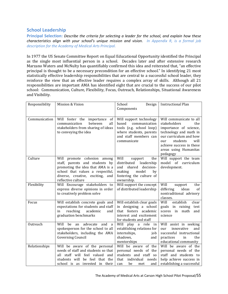# **School Leadership**

**Principal Selection:** *Describe the criteria for selecting a leader for the school, and explain how these characteristics align with your school's unique mission and vision. In Appendix R, is a formal job description for the Academy of Medical Arts Principal.*

In 1977 the US Senate Committee Report on Equal Educational Opportunity identified the Principal as the single most influential person in a school. Decades later and after extensive research Marzano Waters and McNulty has quantifiably confirmed this idea and reiterated that, "an effective principal is thought to be a necessary precondition for an effective school." In identifying 21 most statistically effective leadership responsibilities that are central to a successful school leader, they reinforce the view that an effective leader requires a complex array of skills. Although all 21 responsibilities are important AMA has identified eight that are crucial to the success of our pilot school: Communication, Culture, Flexibility, Focus, Outreach, Relationships, Situational Awareness and Visibility.

| Responsibility | Mission & Vision                                                                                                                                                                                   | School<br>Design<br>Components                                                                                                                       | <b>Instructional Plan</b>                                                                                                                                                                                                |
|----------------|----------------------------------------------------------------------------------------------------------------------------------------------------------------------------------------------------|------------------------------------------------------------------------------------------------------------------------------------------------------|--------------------------------------------------------------------------------------------------------------------------------------------------------------------------------------------------------------------------|
| Communication  | Will foster the<br>of<br>importance<br>all<br>communication<br>between<br>stakeholders from sharing of ideas<br>to conveying the idea                                                              | Will support technology<br>communication<br>based<br>tools (e.g. school loop)<br>where students, parents<br>and staff members can<br>communicate     | Will communicate to all<br>stakeholders<br>the<br>importance of science,<br>technology and math in<br>our curriculum and how<br>students<br>will<br>our<br>achieve success in these<br>areas using Humanitas<br>pedagogy |
| Culture        | Will promote cohesion among<br>staff, parents and students by<br>promoting the idea that AMA is a<br>school that values a respectful,<br>diverse, creative, exciting,<br>and<br>reflective culture | Will<br>support<br>the<br>distributed<br>leadership<br>decision-<br>and<br>shared<br>making<br>model<br>by<br>fostering the culture of<br>ownership. | Will support the team<br>model of curriculum<br>development.                                                                                                                                                             |
| Flexibility    | Will Encourage stakeholders to<br>express diverse opinions in order<br>to creatively problem solve                                                                                                 | Will support the concept<br>of distributed leadership                                                                                                | Will<br>support<br>the<br>differing<br>ideas<br>of<br>nontraditional advisory<br>classes.                                                                                                                                |
| Focus          | Will establish concrete goals and<br>expectations for students and staff<br>reaching<br>academic<br>in<br>and<br>graduation benchmarks                                                             | Will establish clear goals<br>in designing a school<br>that fosters academic<br>interest and excitement<br>for students and staff                    | Will<br>establish<br>clear<br>goals in raising<br>test<br>scores in<br>math<br>and<br>science                                                                                                                            |
| Outreach       | Will<br>be<br>advocate<br>and<br>an<br>a<br>spokesperson for the school to all<br>stakeholders, including the AMA<br><b>Governing Council</b>                                                      | Will play a role in<br>establishing relations for<br>internships,<br>job<br>shadows,<br>and<br>mentorships                                           | Will assist in seeking<br>innovative<br>and<br>our<br>successful instructional<br>practices<br>the<br>in<br>educational community                                                                                        |
| Relationships  | Will be aware of the personal<br>needs of staff and students so that<br>all staff will feel valued<br>and<br>students will<br>be feel that the<br>school is as invested in their                   | Will be aware of the<br>personal needs of the<br>students and staff so<br>that<br>individual<br>needs<br>be<br>and<br>can<br>met                     | Will be aware of the<br>personal needs of the<br>staff and students to<br>help achieve success in<br>establishing a successful                                                                                           |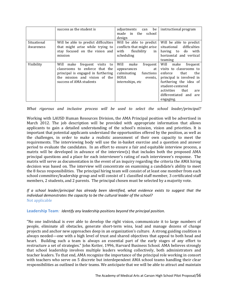|                          | success as the student is                                                                                                                                                    | be<br>adjustments<br>can<br>the<br>made in<br>school<br>design                                                   | instructional program                                                                                                                                                                                                          |
|--------------------------|------------------------------------------------------------------------------------------------------------------------------------------------------------------------------|------------------------------------------------------------------------------------------------------------------|--------------------------------------------------------------------------------------------------------------------------------------------------------------------------------------------------------------------------------|
| Situational<br>Awareness | Will be able to predict difficulties<br>that might arise while trying to<br>stay focused on the vision and<br>mission                                                        | Will be able to predict<br>conflicts that might arise<br>flexibility<br>with<br>in<br>scheduling                 | Will be able to predict<br>situational<br>difficulties<br>having to<br>do<br>with<br>horizontal and vertical<br>teaming                                                                                                        |
| Visibility               | Will<br>frequent<br>make<br>visits<br>to<br>classrooms to enforce that the<br>principal is engaged in furthering<br>the mission and vision of the<br>success of AMA students | Will<br>make<br>frequent<br>at<br>appearances<br>culminating<br>functions<br>HOSA<br>events,<br>internships, etc | Will<br>make<br>frequent<br>visits to classrooms to<br>enforce<br>that<br>the<br>principal is involved in<br>furthering the idea of<br>student-centered<br>activities<br>that<br>are<br>differentiated and<br>are<br>engaging. |

*What rigorous and inclusive process will be used to select the school leader/principal?* 

Working with LAUSD Human Resources Division, the AMA Principal position will be advertised in March 2012. The job description will be provided with appropriate information that allows applicants to gain a detailed understanding of the school's mission, vision and priorities. It is important that potential applicants understand the opportunities offered by the position, as well as the challenges, in order to make a realistic assessment of their own capacity to meet the requirements. The interviewing body will use the in-basket exercise and a question and answer period to evaluate the candidates. In an effort to ensure a fair and equitable interview process, a matrix will be developed in advance of the interview(s) that includes both the proposed AMA principal questions and a place for each interviewer's rating of each interviewee's response. The matrix will serve as documentation in the event of an inquiry regarding the criteria the AMA hiring decision was based on. The interview will concentrate on examining a candidate's ability to meet the 8 focus responsibilities. The principal hiring team will consist of at least one member from each school committee/leadership group and will consist of 1 classified staff member, 3 certificated staff members, 2 students, and 2 parents. The principal chosen must be selected by a majority vote.

*If a school leader/principal has already been identified, what evidence exists to suggest that the individual demonstrates the capacity to be the cultural leader of the school?* Not applicable

**Leadership Team***: Identify any leadership positions beyond the principal position.* 

"No one individual is ever able to develop the right vision, communicate it to large numbers of people, eliminate all obstacles, generate short-term wins, lead and manage dozens of change projects and anchor new approaches deep in an organization's culture. A strong guiding coalition is always needed—one with a high level of trust and shared objectives that appeal to both head and heart. Building such a team is always an essential part of the early stages of any effort to restructure a set of strategies." John Kotter, 1996, Harvard Business School. AMA believes strongly that school leadership involves multiple leaders working collectively, both administrators and teacher leaders. To that end, AMA recognize the importance of the principal role working in consort with teachers who serve on 5 discrete but interdependent AMA school teams handling their clear responsibilities as outlined in their teams. We anticipate that we will be able to attract and maintain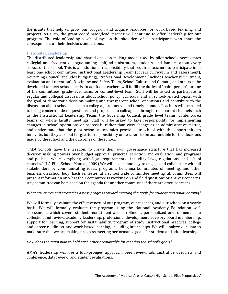the grants that help us grow our program and acquire resources for work based learning and projects. As such, the grant coordinator/lead teacher will continue to offer leadership for our program. The role of leading a school lays on the shoulders of all participants who share the consequences of their decisions and actions.

# Distributed Leadership

The distributed leadership and shared decision-making model used by pilot schools necessitates collegial and frequent dialogue among staff, administrators, students, and families about every aspect of the school. This is an additional responsibility that requires teachers to participate in at least one school committee: Instructional Leadership Team (covers curriculum and assessment), Governing Council (includes budgeting), Professional Development (includes teacher recruitment, evaluation and retention), Discipline and Safety Team, School Culture and Climate, and others to be developed to meet school needs. In addition, teachers will fulfill the duties of "point person" for one of the committees, grade-level team, or content-level team. Staff will be asked to participate in regular and collegial discussions about school policy, curricula, and all school-related topics, with the goal of democratic decision-making and transparent school operations and contribute to the discussion about school issues in a collegial, productive and timely manner. Teachers will be asked to bring concerns, ideas, questions, and proposals to colleagues through transparent channels such as the Instructional Leadership Team, the Governing Council, grade level teams, content-area teams, or whole faculty meetings. Staff will be asked to take responsibility for implementing changes in school operations or proposals, rather than view change as an administrative matter, and understand that the pilot school autonomies provide our school with the opportunity to innovate, but they also put far greater responsibility on teachers to be accountable for the decisions made by the school and the outcomes of the school.

"Pilot Schools have the freedom to create their own governance structure that has increased decision making powers over budget approval, principal selection and evaluation, and programs and policies, while complying with legal requirements—including laws, regulations, and school councils." (LA Pilot School Manual, 2009) We will use technology to engage and collaborate with all stakeholders by communicating ideas, programs, benchmarks, minutes of meeting, and other business on school loop. Each semester, at a school wide committee meeting, all committees will present information on what their committee is working on and field questions or answer concerns. Any committee can be placed on the agenda for another committee if there are cross concerns.

## *What structures and strategies assess progress toward meeting the goals for student and adult learning?*

We will formally evaluate the effectiveness of our program, our teachers, and our school on a yearly basis. We will formally evaluate the program using the National Academy Foundation selfassessment, which covers student recruitment and enrollment, personalized environment, data collection and review, academy leadership, professional development, advisory board membership, support for learning, support for sustainability, program of study, instructional practices, college and career readiness, and work based learning, including internships. We will analyze our data to make sure that we are making progress meeting performance goals for student and adult learning.

## *How does the team plan to hold each other accountable for meeting the school's goals?*

AMA's leadership will use a four-pronged approach: peer review, administrative overview and conference, data review, and student evaluations.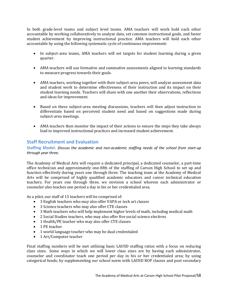In both grade-level teams and subject level teams. AMA teachers will work hold each other accountable by working collaboratively to analyze data, set common instructional goals, and foster student achievement by improving instructional practice. AMA teachers will hold each other accountable by using the following systematic cycle of continuous improvement:

- In subject-area teams, AMA teachers will set targets for student learning during a given quarter.
- AMA teachers will use formative and summative assessments aligned to learning standards to measure progress towards their goals.
- AMA teachers, working together with their subject-area peers, will analyze assessment data and student work to determine effectiveness of their instruction and its impact on their student learning needs. Teachers will share with one another their observations, reflections and ideas for improvement.
- Based on these subject-area meeting discussions, teachers will then adjust instruction to differentiate based on perceived student need and based on suggestions made during subject-area meetings.
- AMA teachers then monitor the impact of their actions to ensure the steps they take always lead to improved instructional practices and increased student achievement.

# **Staff Recruitment and Evaluation**

**Staffing Model.** *Discuss the academic and non-academic staffing needs of the school from start-up through year three.* 

The Academy of Medical Arts will require a dedicated principal, a dedicated counselor, a part-time office technician and approximately one-fifth of the staffing of Carson High School to set up and function effectively during years one through three. The teaching team at the Academy of Medical Arts will be comprised of highly qualified academic educators and career technical education teachers. For years one through three, we envision a school wherein each administrator or counselor also teaches one period a day in his or her credentialed area.

As a pilot, our staff of 15 teachers will be comprised of:

- 3 English teachers who may also offer VAPA or tech art classes
- 3 Science teachers who may also offer CTE classes
- 3 Math teachers who will help implement higher levels of math, including medical math
- 2 Social Studies teachers, who may also offer five social science electives
- 1 Health/PE teacher who may also offer CTE classes
- 1 PE teacher
- 1 world language teacher who may be dual credentialed
- 1 Art/Computer teacher

Final staffing numbers will be met utilizing basic LAUSD staffing ratios with a focus on reducing class sizes. Some ways in which we will lower class sizes are by having each administrator, counselor and coordinator teach one period per day in his or her credentialed area; by using categorical funds; by supplementing our school norm with LAUSD ROP classes and post secondary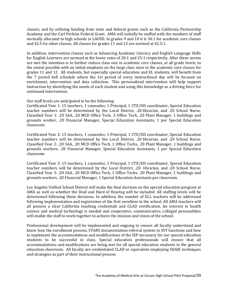classes; and by utilizing funding from state and federal grants such as the California Partnership Academy and the Carl Perkins Federal Grant. AMA will initially be staffed with the numbers of staff normally allocated to high schools in LAUSD. In grades 9 and 10 it is 34:1 for academic core classes and 42.5 for other classes. All classes for grades 11 and 12 are normed at 42.5:1.

In addition, intervention classes such as Advancing Academic Literacy and English Language Skills for English Learners are normed at the lower rates of 20:1 and 25:1 respectively. After these norms are met the intention is to further reduce class size in academic core classes, at all grade levels, to the extent possible with an initial emphasis on the large class sizes in the academic core classes for grades 11 and 12. All students, but especially special education and EL students, will benefit from the 7 period bell schedule where the 1st period of every instructional day will be focused on enrichment, intervention and data collection. This personalized intervention will help support instruction by identifying the needs of each student and using this knowledge as a driving force for continued intervention.

Our staff levels are anticipated to be the following:

Certificated Year 1: 15 teachers, 1 counselor, 1 Principal, 1 CTE/SIS coordinator, Special Education teacher numbers will be determined by the Local District, .20 librarian, and .20 School Nurse. Classified Year 1: .20 SAA, .20 MCD Office Tech, .5 Office Tech, .20 Plant Manager, 1 buildings and grounds worker, .20 Financial Manager, Special Education Assistants; 1 per Special Education classroom

Certificated Year 2: 15 teachers, 1 counselor, 1 Principal, 1 CTE/SIS coordinator, Special Education teacher numbers will be determined by the Local District, .20 librarian, and .20 School Nurse. Classified Year 2: .20 SAA, .20 MCD Office Tech, 1 Office Techs, .20 Plant Manager, 1 buildings and grounds workers, .20 Financial Manager, Special Education Assistants, 1 per Special Education classroom

Certificated Year 3: 15 teachers, 1 counselor, 1 Principal, 1 CTE/SIS coordinator, Special Education teacher numbers will be determined by the Local District, .20 librarian, and .20 School Nurse. Classified Year 3: .20 SAA, .20 MCD Office Tech, 1 Office Techs, .20 Plant Manager, 1 buildings and grounds workers, .20 Financial Manager, 1 Special Education Assistants per classroom.

Los Angeles Unified School District will make the final decision on the special education program at AMA as well as whether the Deaf and Hard of Hearing will be included. All staffing levels will be determined following those decisions. In addition, the number of ELL teachers will be addressed following implementation and registration of the first enrollees in the school. All AMA teachers will all possess a clear California teaching credentials and CLAD certification. An interest in health science and medical technology is needed and cooperative, communicative, collegial personalities will enable the staff to work together to achieve the mission and vision of the school.

Professional development will be implemented and ongoing to ensure all faculty understand and know how the enrollment process, STARS documentation referral system to SST functions and how to implement the accommodations and modifications of the IEP necessary for our special education students to be successful in class. Special education professionals will ensure that all accommodations and modifications are being met for all special education students in the general education classroom. All faculty are credentialed CLAD or equivalent employing SDAIE techniques and strategies as part of their instructional process.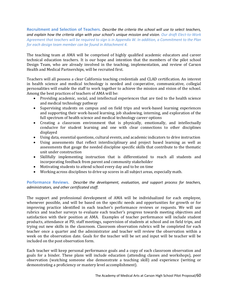**Recruitment and Selection of Teachers.** *Describe the criteria the school will use to select teachers, and explain how the criteria align with your school's unique mission and vision. Our draft Elect-to-Work Agreement that teachers will be required to sign is in Appendix W. In addition, a Commitment to the Plan for each design team member can be found in Attachment 4.* 

The teaching team at AMA will be comprised of highly qualified academic educators and career technical education teachers. It is our hope and intention that the members of the pilot school Design Team, who are already involved in the teaching, implementation, and review of Carson Health and Medical Partnerships, will be recruited first.

Teachers will all possess a clear California teaching credentials and CLAD certification. An interest in health science and medical technology is needed and cooperative, communicative, collegial personalities will enable the staff to work together to achieve the mission and vision of the school. Among the best practices of teachers of AMA will be:

- Providing academic, social, and intellectual experiences that are tied to the health science and medical technology pathway
- Supervising students on campus and on field trips and work-based learning experiences and supporting their work-based learning, job shadowing, interning, and exploration of the full spectrum of health science and medical technology career options
- Creating a classroom environment that is physically, emotionally, and intellectually conducive for student learning and one with clear connections to other disciplines displayed
- Using data, essential questions, cultural events, and academic indicators to drive instruction
- Using assessments that reflect interdisciplinary and project based learning as well as assessments that gauge the needed discipline specific skills that contribute to the thematic unit under construction
- Skillfully implementing instruction that is differentiated to reach all students and incorporating feedback from parent and community stakeholder
- Motivating students to attend school every day and to be on time
- Working across disciplines to drive up scores in all subject areas, especially math.

**Performance Reviews.** *Describe the development, evaluation, and support process for teachers, administrators, and other certificated staff.*

The support and professional development of AMA will be individualized for each employee, whenever possible, and will be based on the specific needs and opportunities for growth or for improving practice identified in each teacher's performance reviews or requests. We will use rubrics and teacher surveys to evaluate each teacher's progress towards meeting objectives and satisfaction with their position at AMA. Examples of teacher performance will include student products, attendance at PD, staff meetings, supervision of students at school and on field trips, and trying out new skills in the classroom. Classroom observation rubrics will be completed for each teacher once a quarter and the administrator and teacher will review the observation within a week on the observation date. Goals for the teacher will be set and input will be teacher will be included on the post observation form.

Each teacher will keep personal performance goals and a copy of each classroom observation and goals for a binder. These plans will include education (attending classes and workshops), peer observation (watching someone else demonstrate a teaching skill) and experience (writing or demonstrating a proficiency or mastery level accomplishment).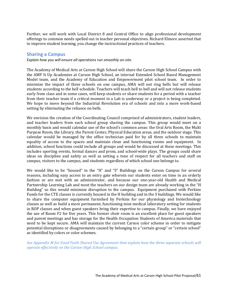Further, we will work with Local District 8 and Central Office to align professional development offerings to common needs spelled out in teacher personal objectives. Richard Elmore asserted that to improve student learning, you change the instructional practices of teachers.

# **Sharing a Campus**

*Explain how you will ensure all operations run smoothly on-site.* 

The Academy of Medical Arts at Carson High School will share the Carson High School Campus with the AMP It Up Academies at Carson High School, an internal Extended School Based Management Model team, and the Academy of Education and Empowerment pilot school team. In order to minimize the impact of three schools on one campus, AMA will not ring bells but will release students according to the bell schedule. Teachers will teach bell to bell and will not release students early from class and in some cases, will keep students or share students for a period with a teacher from their teacher team if a critical moment in a Lab is underway or a project is being completed. We hope to move beyond the Industrial Revolution era of schools and into a more work-based setting by eliminating the reliance on bells.

We envision the creation of the Coordinating Council comprised of administrators, student leaders, and teacher leaders from each school group sharing the campus. This group would meet on a monthly basis and would calendar use of the school's common areas: the Oral Arts Room, the Multi Purpose Room, the Library, the Parent Center, Physical Education areas, and the outdoor stage. This calendar would be managed by the office technician paid for by all three schools to maintain equality of access to the spaces and maintain clean and functioning rooms and equipment. In addition, school functions could include all groups and would be discussed at these meetings. This includes sporting events, formal dances and prom, and school-wide plays. The groups could share ideas on discipline and safety as well as setting a tone of respect for all teachers and staff on campus, visitors to the campus, and students regardless of which school one belongs to.

We would like to be "housed" in the "H" and "S" Buildings on the Carson Campus for several reasons, including easy access to an entry gate wherein our students enter on time in an orderly fashion or are met with an administrator, and because our one-year-old Health and Medical Partnership Learning Lab and most the teachers on our design team are already working in the "H Building" so this would minimize disruption to the campus. Equipment purchased with Perkins Funds for the CTE classes is currently housed in the H building and in the S buildings. We would like to share the computer equipment furnished by Perkins for our physiology and biotechnology classes as well as build a more permanent, functioning mini medical laboratory setting for students in ROP classes and when guest speakers bring their expertise to campus. Finally, we have enjoyed the use of Room F2 for five years. This former choir room is an excellent place for guest speakers and parent meetings and has storage for the Health Occupation Students of America materials that need to be kept secure. AMA will maintain the current Carson color scheme in order to mitigate potential disruptions or disagreements caused by belonging to a "certain group" or "certain school" as identified by colors or color schemes.

*See Appendix M for Good Faith Shared Use Agreement that explain how the three separate schools will operate effectively on the Carson High School campus.*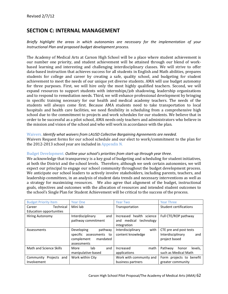# **SECTION C: INTERNAL MANAGEMENT**

*Briefly highlight the areas in which autonomies are necessary for the implementation of your Instructional Plan and proposed budget development process.* 

The Academy of Medical Arts at Carson High School will be a place where student achievement is our number one priority, and student achievement will be attained through our blend of workbased learning and interesting and challenging interdisciplinary classes. We will strive to offer data-based instruction that achieves success for all students in English and Math abilities, prepares students for college and career by creating a safe, quality school, and budgeting for student achievement to meet the needs of our unique yet diverse students. AMA will use budget autonomy for three purposes. First, we will hire only the most highly qualified teachers. Second, we will expand resources to support students with internships/job shadowing, leadership organizations and to respond to remediation needs. Third, we will enhance professional development by bringing in specific training necessary for our health and medical academy teachers. The needs of the students will always come first. Because AMA students need to take transportation to local hospitals and health care facilities, we need flexibility in scheduling from a comprehensive high school due to the commitment to projects and work schedules for our students. We believe that in order to be successful as a pilot school, AMA needs only teachers and administrators who believe in the mission and vision of the school and who will work in accordance with the plan.

# Waivers. *Identify what waivers from LAUSD Collective Bargaining Agreements are needed.*

Waivers Request forms for our school schedule and our elect to work/commitment to the plan for the 2012-2013 school year are included in Appendix N.

## Budget Development. *Outline your school's priorities from start-up through year three.*

We acknowledge that transparency is a key goal of budgeting and scheduling for student initiatives, at both the District and the school levels. Therefore, although we seek certain autonomies, we will expect our principal to engage our school community throughout the budget development process. We anticipate our school leaders to actively involve stakeholders, including parents, teachers, and leadership committees, in an analysis of student data trends and necessary interventions as well as a strategy for maximizing resources. We also agree that alignment of the budget, instructional goals, objectives and outcomes with the allocation of resources and intended student outcomes to the school's Single Plan for Student Achievement will be critical to the success of the process.

| <b>Budget Priority Item</b> | <b>Year One</b>            | <b>Year Two</b>           | <b>Year Three</b>             |
|-----------------------------|----------------------------|---------------------------|-------------------------------|
| Technical<br>Career         | Mini lab                   | Transportation            | <b>Student certifications</b> |
| Education opportunities     |                            |                           |                               |
| <b>Hiring Autonomy</b>      | Interdisciplinary<br>and   | Increased health science  | Full CTE/ROP pathway          |
|                             | pathway commitment         | and medical technology    |                               |
|                             |                            | integration               |                               |
| Assessments                 | pathway<br>Developing      | Interdisciplinary<br>with | CTE pre and post tests        |
|                             | specific assessments<br>to | content knowledge         | Interdisciplinary<br>and      |
|                             | complement<br>mandated     |                           | project based                 |
|                             | assessments                |                           |                               |
| Math and Science Skills     | lab<br>and<br>More         | math<br>Increased         | Pathway<br>levels.<br>honor   |
|                             | manipulative-based         | applications              | such as Medical Math          |
| Community<br>Projects and   | Work within City           | Work with community and   | Form projects to benefit      |
| Involvement                 |                            | business partners         | greater community             |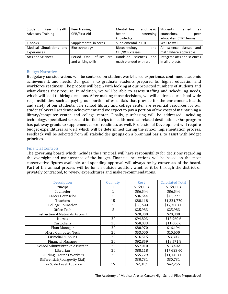| Student<br>Health<br>Peer | Peer training                | Mental health and basic     | Students<br>trained<br>as   |
|---------------------------|------------------------------|-----------------------------|-----------------------------|
| <b>Advocacy Training</b>  | CPR/First Aid                | health<br>screening         | counselors,<br>peer         |
|                           |                              | knowledge                   | advocates, CERT teams       |
| E-books                   | Supplemental in cores        | Supplemental in CTE         | Wall to wall                |
| Medical Simulations and   | Biotechnology                | Biotechnology<br>and        | science classes and<br>All  |
| Experiences               |                              | CTE/ROP classes             | math where applicable       |
| <b>Arts and Sciences</b>  | infuses art<br>Period<br>One | Hands-on<br>sciences<br>and | Integrate arts and sciences |
| and writing skills        |                              | math blended with art       | in all projects             |

## Budget Narrative

Budgetary considerations will be centered on student work-based experience, continued academic achievement, and needs. Our goal is to graduate students prepared for higher education and workforce readiness. The process will begin with looking at our projected numbers of students and what classes they require. In addition, we will be able to assess staffing and scheduling needs, which will lead to hiring decisions. After making those decisions, we will address our school-wide responsibilities, such as paying our portion of essentials that provide for the enrichment, health, and safety of our students. The school library and college center are essential resources for our students' overall academic achievement and we expect to pay a portion of the costs of maintaining a library/computer center and college center. Finally, purchasing will be addressed, including technology, specialized texts, and for field trips to health-medical related destinations. Our program has pathway grants to supplement career readiness as well. Professional Development will require budget expenditures as well, which will be determined during the school implementation process. Feedback will be solicited from all stakeholder groups on a bi-annual basis, to assist with budget priorities.

## Financial Controls

The governing board, which includes the Principal, will have responsibility for decisions regarding the oversight and maintenance of the budget. Financial projections will be based on the most conservative figures available, and spending approval will always be by consensus of the board. Part of the annual process will be for an outside auditor, whether it be through the district or privately contracted, to review expenditures and make recommendations.

| <b>Description</b>                     | Quantity | Cost      | <b>Calculated Total</b> |
|----------------------------------------|----------|-----------|-------------------------|
| Principal                              | 1        | \$159,113 | \$159,113               |
| Counselor                              | 1        | \$86,544  | \$86,544                |
| Career Counselor                       | $.5\,$   | \$86,544  | \$43,272                |
| Teachers                               | 15       | \$88,118  | \$1,321,770             |
| College Counselor                      | .20      | \$86,544  | \$17,308.80             |
| Office Tech                            | $.5\,$   | \$25,983  | \$25,983                |
| <b>Instructional Materials Account</b> |          | \$20,300  | \$20,300                |
| <b>Nurses</b>                          | .20      | \$94,803  | \$18,960.6              |
| Custodians                             | .20      | \$58,033  | \$11,606.6              |
| Plant Manager                          | .20      | \$80,970  | \$16,194                |
| Micro Computer Tech                    | .20      | \$53,000  | \$10,600                |
| <b>Custodial Supplies</b>              | .20      | \$16,515  | \$3,303                 |
| <b>Financial Manager</b>               | .20      | \$92,859  | \$18,571.8              |
| School Administrative Assistant        | .20      | \$67,010  | \$13,402                |
| Librarian                              | .20      | \$88,118  | \$17,623.60             |
| <b>Building Grounds Workers</b>        | .20      | \$55,729  | \$11,145.80             |
| Differentials/Longevity (Sal)          |          | \$30,731  | \$30,731                |
| Pay Scale Level Advance                | 15       | \$2,817   | \$42,255                |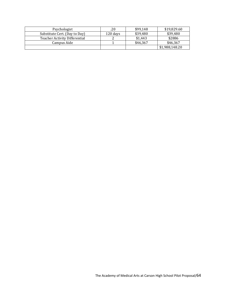| Psychologist                         | .20      | \$99,148 | \$19,829.60    |
|--------------------------------------|----------|----------|----------------|
| Substitute Cert. (Day to Day)        | 120 days | \$39,480 | \$39,480       |
| <b>Teacher Activity Differential</b> |          | \$1,443  | \$2886         |
| Campus Aide                          |          | \$46.367 | \$46,367       |
|                                      |          |          | \$1,988,148.20 |